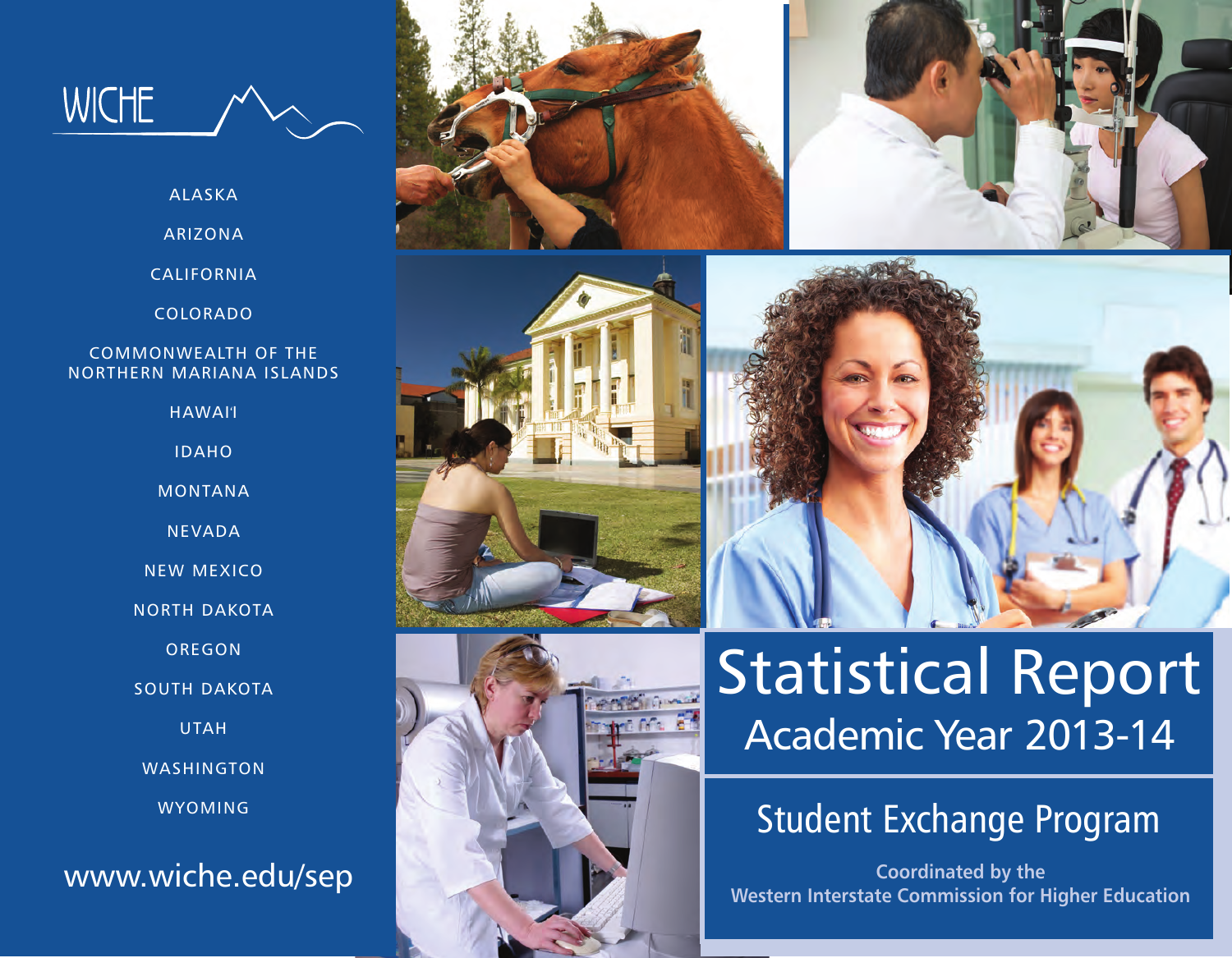

ALASKA

ARIZONA

CALIFORNIA

COLORADO

#### COMMONWEALTH OF THE NORTHERN MARIANA ISLANDS

HAWAI'I

IDAHO

MONTANA

NEVADA

NEW MEXICO

NORTH DAKOTA

OREGON

SOUTH DAKOTA

UTAH

WASHINGTON

WYOMING

www.wiche.edu/sep











# Statistical Report Academic Year 2013-14

# Student Exchange Program

**Coordinated by the Western Interstate Commission for Higher Education**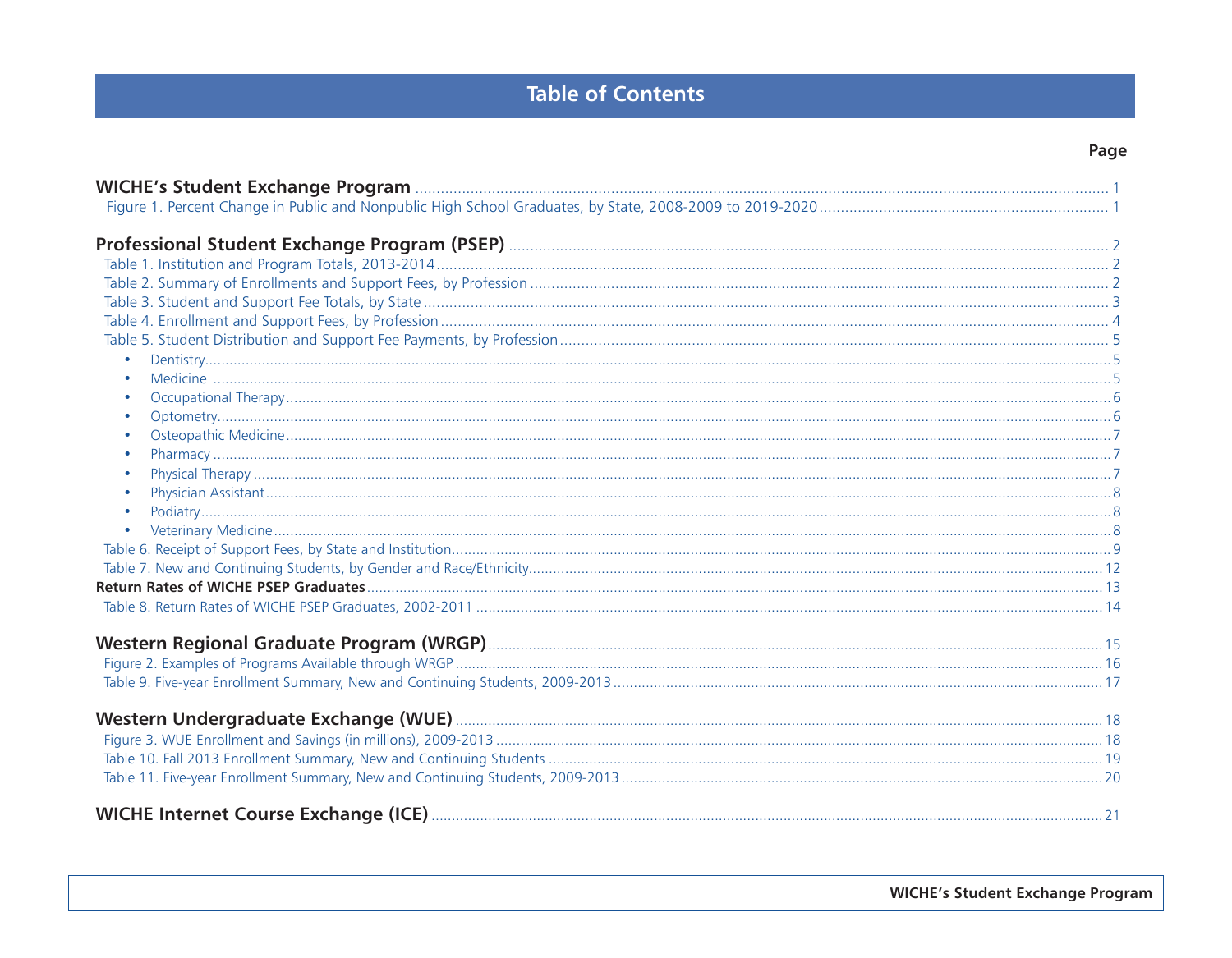## **Table of Contents**

| $\bullet$<br>$\bullet$<br>$\bullet$<br>$\bullet$              |  |
|---------------------------------------------------------------|--|
| $\bullet$<br>$\bullet$<br>$\bullet$<br>$\bullet$<br>$\bullet$ |  |
|                                                               |  |
|                                                               |  |
|                                                               |  |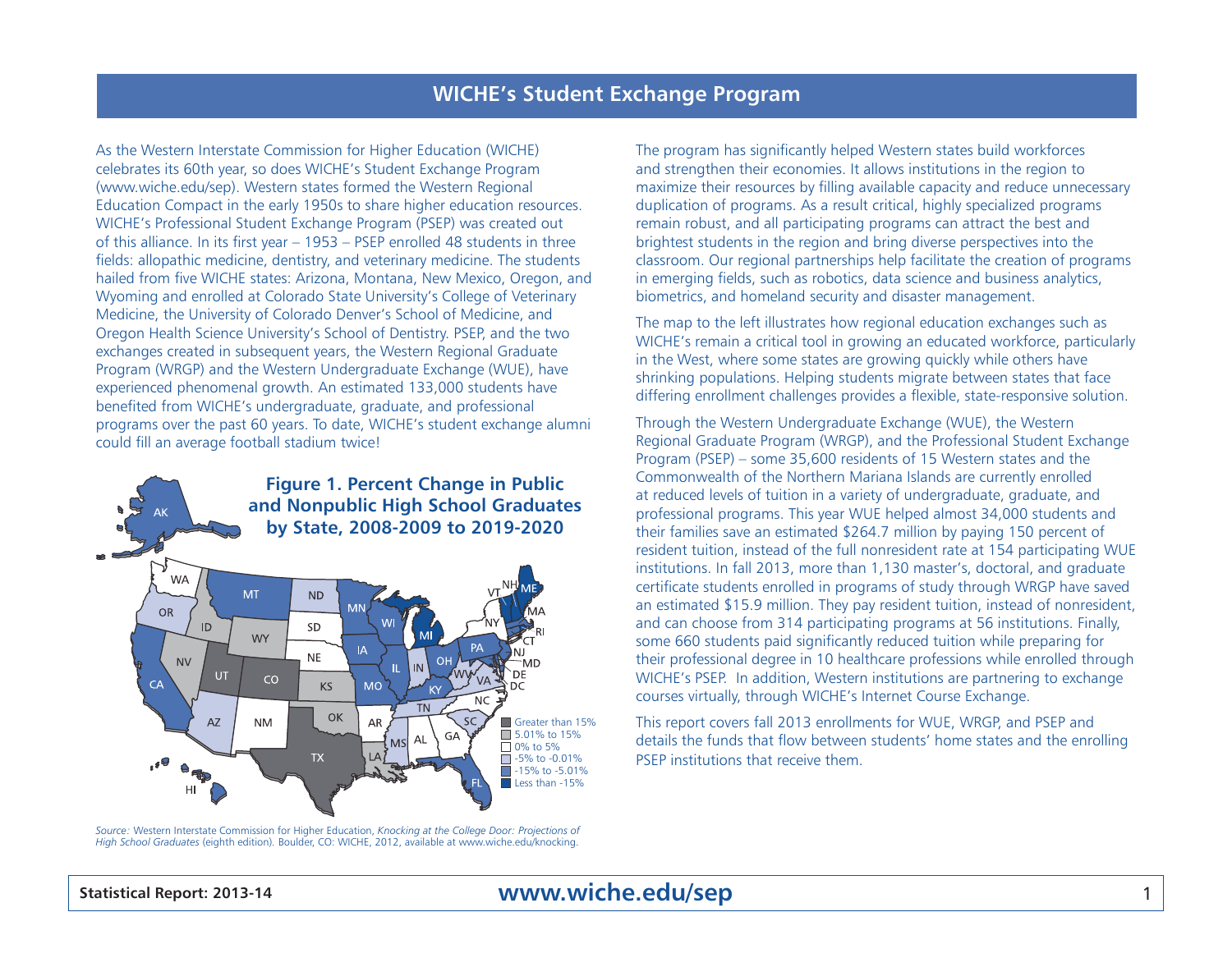As the Western Interstate Commission for Higher Education (WICHE) celebrates its 60th year, so does WICHE's Student Exchange Program (www.wiche.edu/sep). Western states formed the Western Regional Education Compact in the early 1950s to share higher education resources. WICHE's Professional Student Exchange Program (PSEP) was created out of this alliance. In its first year – 1953 – PSEP enrolled 48 students in three fields: allopathic medicine, dentistry, and veterinary medicine. The students hailed from five WICHE states: Arizona, Montana, New Mexico, Oregon, and Wyoming and enrolled at Colorado State University's College of Veterinary Medicine, the University of Colorado Denver's School of Medicine, and Oregon Health Science University's School of Dentistry. PSEP, and the two exchanges created in subsequent years, the Western Regional Graduate Program (WRGP) and the Western Undergraduate Exchange (WUE), have experienced phenomenal growth. An estimated 133,000 students have benefited from WICHE's undergraduate, graduate, and professional programs over the past 60 years. To date, WICHE's student exchange alumni could fill an average football stadium twice!



*Source:* Western Interstate Commission for Higher Education, *Knocking at the College Door: Projections of High School Graduates* (eighth edition)*.* Boulder, CO: WICHE, 2012, available at www.wiche.edu/knocking.

The program has significantly helped Western states build workforces and strengthen their economies. It allows institutions in the region to maximize their resources by filling available capacity and reduce unnecessary duplication of programs. As a result critical, highly specialized programs remain robust, and all participating programs can attract the best and brightest students in the region and bring diverse perspectives into the classroom. Our regional partnerships help facilitate the creation of programs in emerging fields, such as robotics, data science and business analytics, biometrics, and homeland security and disaster management.

The map to the left illustrates how regional education exchanges such as WICHE's remain a critical tool in growing an educated workforce, particularly in the West, where some states are growing quickly while others have shrinking populations. Helping students migrate between states that face differing enrollment challenges provides a flexible, state-responsive solution.

Through the Western Undergraduate Exchange (WUE), the Western Regional Graduate Program (WRGP), and the Professional Student Exchange Program (PSEP) – some 35,600 residents of 15 Western states and the Commonwealth of the Northern Mariana Islands are currently enrolled at reduced levels of tuition in a variety of undergraduate, graduate, and professional programs. This year WUE helped almost 34,000 students and their families save an estimated \$264.7 million by paying 150 percent of resident tuition, instead of the full nonresident rate at 154 participating WUE institutions. In fall 2013, more than 1,130 master's, doctoral, and graduate certificate students enrolled in programs of study through WRGP have saved an estimated \$15.9 million. They pay resident tuition, instead of nonresident, and can choose from 314 participating programs at 56 institutions. Finally, some 660 students paid significantly reduced tuition while preparing for their professional degree in 10 healthcare professions while enrolled through WICHE's PSEP. In addition, Western institutions are partnering to exchange courses virtually, through WICHE's Internet Course Exchange.

This report covers fall 2013 enrollments for WUE, WRGP, and PSEP and details the funds that flow between students' home states and the enrolling PSEP institutions that receive them.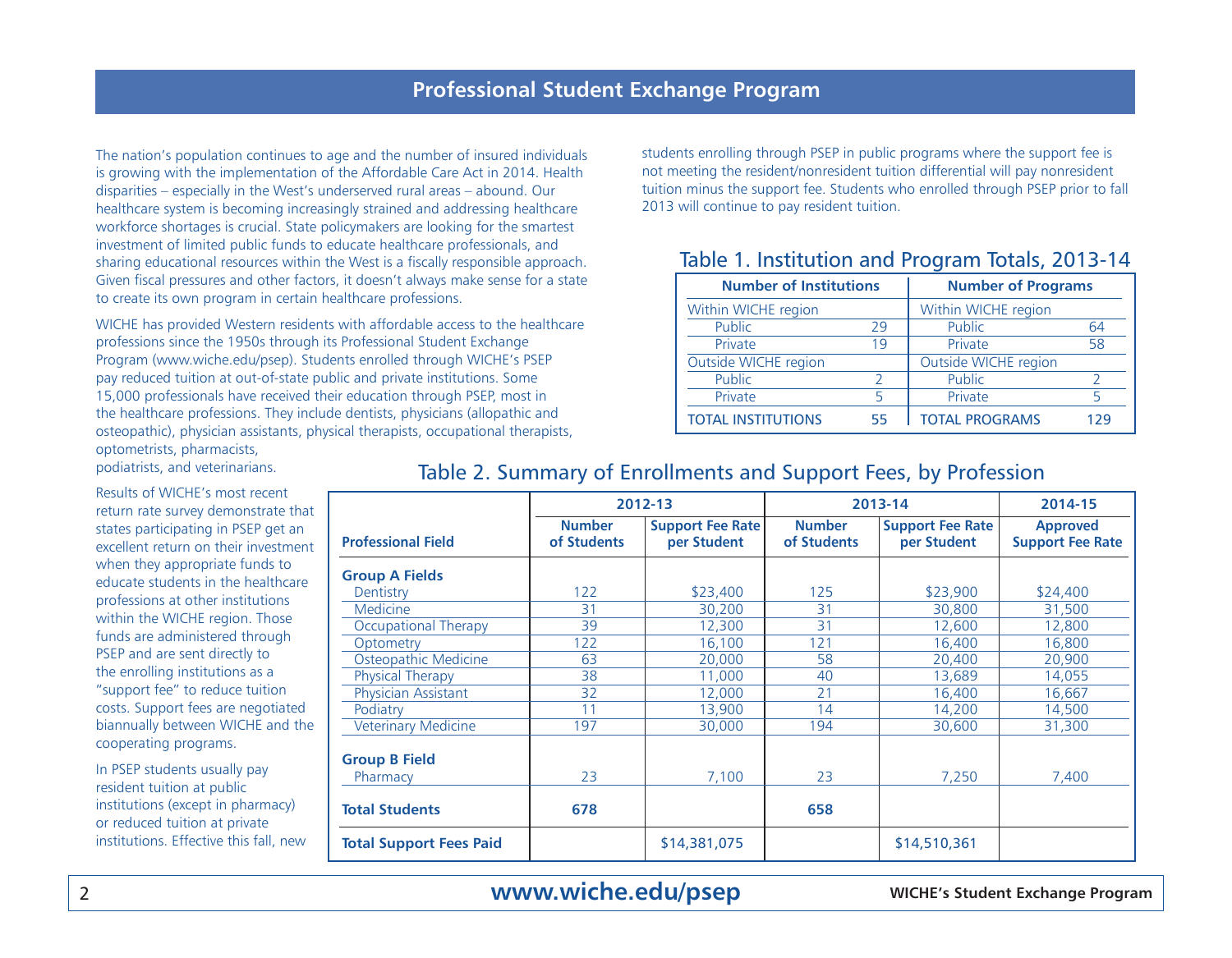The nation's population continues to age and the number of insured individuals is growing with the implementation of the Affordable Care Act in 2014. Health disparities – especially in the West's underserved rural areas – abound. Our healthcare system is becoming increasingly strained and addressing healthcare workforce shortages is crucial. State policymakers are looking for the smartest investment of limited public funds to educate healthcare professionals, and sharing educational resources within the West is a fiscally responsible approach. Given fiscal pressures and other factors, it doesn't always make sense for a state to create its own program in certain healthcare professions.

WICHE has provided Western residents with affordable access to the healthcare professions since the 1950s through its Professional Student Exchange Program (www.wiche.edu/psep). Students enrolled through WICHE's PSEP pay reduced tuition at out-of-state public and private institutions. Some 15,000 professionals have received their education through PSEP, most in the healthcare professions. They include dentists, physicians (allopathic and osteopathic), physician assistants, physical therapists, occupational therapists, optometrists, pharmacists,

students enrolling through PSEP in public programs where the support fee is not meeting the resident/nonresident tuition differential will pay nonresident tuition minus the support fee. Students who enrolled through PSEP prior to fall 2013 will continue to pay resident tuition.

#### Table 1. Institution and Program Totals, 2013-14

| <b>Number of Institutions</b> |    | <b>Number of Programs</b> |     |
|-------------------------------|----|---------------------------|-----|
| Within WICHE region           |    | Within WICHE region       |     |
| Public                        | 29 | Public                    | 64  |
| Private                       | 19 | Private                   | 58  |
| Outside WICHE region          |    | Outside WICHE region      |     |
| Public                        |    | Public                    |     |
| Private                       |    | Private                   |     |
| <b>TOTAL INSTITUTIONS</b>     | 55 | <b>TOTAL PROGRAMS</b>     | 179 |

podiatrists, and veterinarians.

Results of WICHE's most recent return rate survey demonstrate that states participating in PSEP get an excellent return on their investment when they appropriate funds to educate students in the healthcare professions at other institutions within the WICHE region. Those funds are administered through PSEP and are sent directly to the enrolling institutions as a "support fee" to reduce tuition costs. Support fees are negotiated biannually between WICHE and the cooperating programs.

In PSEP students usually pay resident tuition at public institutions (except in pharmacy) or reduced tuition at private institutions. Effective this fall, new

|                                |                              | 2012-13                                |                              | 2013-14                                | 2014-15                                    |
|--------------------------------|------------------------------|----------------------------------------|------------------------------|----------------------------------------|--------------------------------------------|
| <b>Professional Field</b>      | <b>Number</b><br>of Students | <b>Support Fee Rate</b><br>per Student | <b>Number</b><br>of Students | <b>Support Fee Rate</b><br>per Student | <b>Approved</b><br><b>Support Fee Rate</b> |
| <b>Group A Fields</b>          |                              |                                        |                              |                                        |                                            |
| Dentistry                      | 122                          | \$23,400                               | 125                          | \$23,900                               | \$24,400                                   |
| <b>Medicine</b>                | 31                           | 30,200                                 | 31                           | 30,800                                 | 31,500                                     |
| <b>Occupational Therapy</b>    | 39                           | 12,300                                 | 31                           | 12,600                                 | 12,800                                     |
| Optometry                      | 122                          | 16,100                                 | 121                          | 16,400                                 | 16,800                                     |
| Osteopathic Medicine           | 63                           | 20,000                                 | 58                           | 20,400                                 | 20,900                                     |
| <b>Physical Therapy</b>        | 38                           | 11,000                                 | 40                           | 13,689                                 | 14,055                                     |
| Physician Assistant            | 32                           | 12,000                                 | 21                           | 16,400                                 | 16,667                                     |
| Podiatry                       | 11                           | 13,900                                 | 14                           | 14,200                                 | 14,500                                     |
| <b>Veterinary Medicine</b>     | 197                          | 30,000                                 | 194                          | 30,600                                 | 31,300                                     |
| <b>Group B Field</b>           |                              |                                        |                              |                                        |                                            |
| Pharmacy                       | 23                           | 7,100                                  | 23                           | 7.250                                  | 7,400                                      |
| <b>Total Students</b>          | 678                          |                                        | 658                          |                                        |                                            |
| <b>Total Support Fees Paid</b> |                              | \$14,381,075                           |                              | \$14,510,361                           |                                            |

#### Table 2. Summary of Enrollments and Support Fees, by Profession

2 **WICHE's Student Exchange Program www.wiche.edu/psep**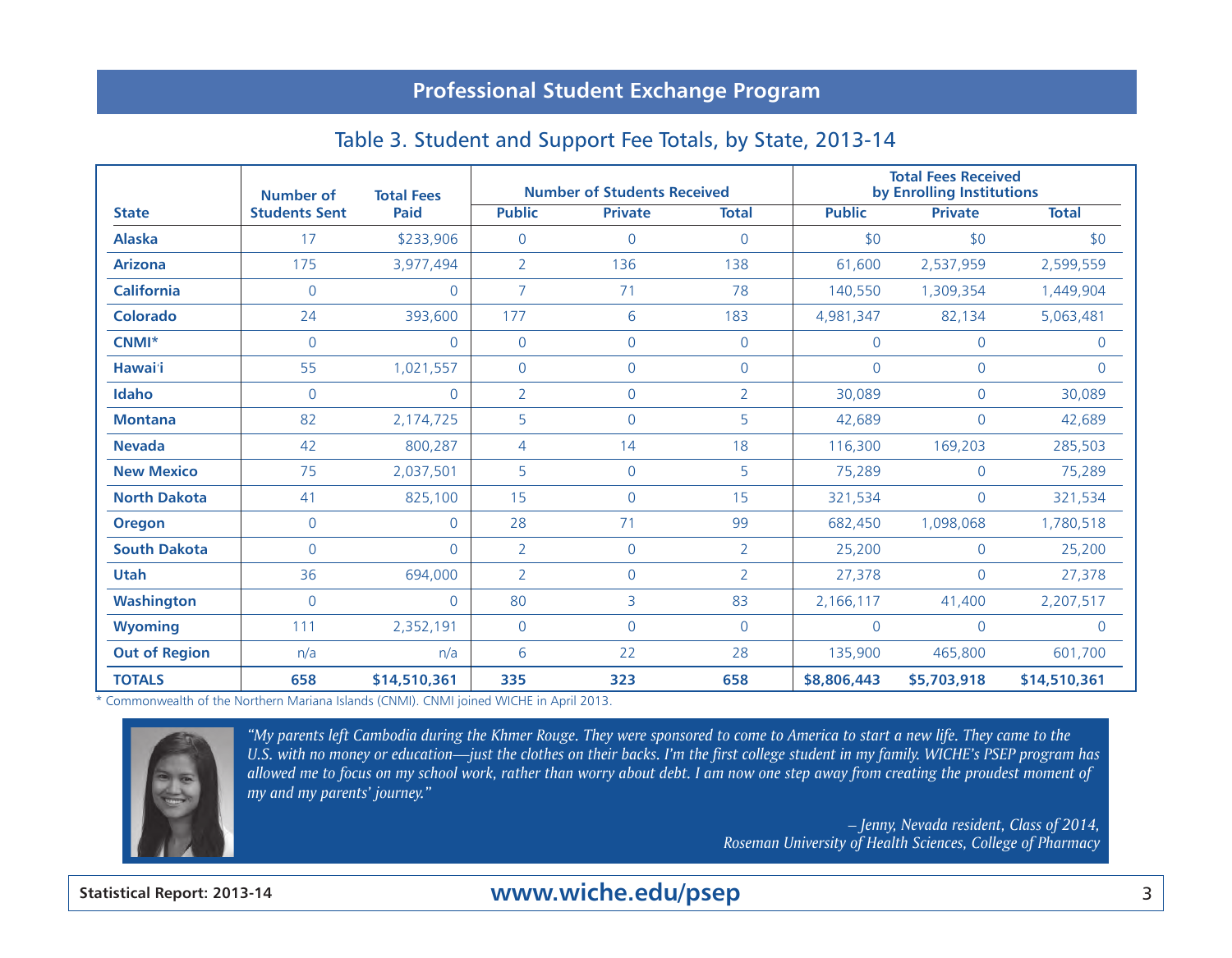## Table 3. Student and Support Fee Totals, by State, 2013-14

|                      | Number of            | <b>Total Fees</b> |                | <b>Number of Students Received</b> |                |                | <b>Total Fees Received</b><br>by Enrolling Institutions |                |
|----------------------|----------------------|-------------------|----------------|------------------------------------|----------------|----------------|---------------------------------------------------------|----------------|
| <b>State</b>         | <b>Students Sent</b> | <b>Paid</b>       | <b>Public</b>  | <b>Private</b>                     | <b>Total</b>   | <b>Public</b>  | <b>Private</b>                                          | <b>Total</b>   |
| <b>Alaska</b>        | 17                   | \$233,906         | $\overline{0}$ | $\mathbf 0$                        | $\Omega$       | \$0            | \$0                                                     | \$0            |
| <b>Arizona</b>       | 175                  | 3,977,494         | $\overline{2}$ | 136                                | 138            | 61,600         | 2,537,959                                               | 2,599,559      |
| <b>California</b>    | $\mathbf 0$          | $\mathbf 0$       | $\overline{7}$ | 71                                 | 78             | 140,550        | 1,309,354                                               | 1,449,904      |
| <b>Colorado</b>      | 24                   | 393,600           | 177            | 6                                  | 183            | 4,981,347      | 82,134                                                  | 5,063,481      |
| $CNMI^*$             | $\Omega$             | $\Omega$          | $\overline{0}$ | $\mathbf 0$                        | $\overline{0}$ | $\overline{0}$ | $\mathbf{0}$                                            | $\overline{0}$ |
| Hawai'i              | 55                   | 1,021,557         | $\mathbf 0$    | $\mathbf 0$                        | $\overline{0}$ | $\mathsf{O}$   | $\mathbf 0$                                             | $\overline{0}$ |
| Idaho                | $\mathbf{0}$         | $\mathbf{0}$      | $\overline{2}$ | $\mathbf 0$                        | $\overline{2}$ | 30,089         | $\mathbf{0}$                                            | 30,089         |
| <b>Montana</b>       | 82                   | 2,174,725         | 5              | $\mathbf 0$                        | 5              | 42,689         | $\mathbf{0}$                                            | 42,689         |
| <b>Nevada</b>        | 42                   | 800,287           | 4              | 14                                 | 18             | 116,300        | 169,203                                                 | 285,503        |
| <b>New Mexico</b>    | 75                   | 2,037,501         | 5              | $\mathbf 0$                        | 5              | 75,289         | $\overline{0}$                                          | 75,289         |
| <b>North Dakota</b>  | 41                   | 825,100           | 15             | $\mathbf{0}$                       | 15             | 321,534        | $\overline{0}$                                          | 321,534        |
| <b>Oregon</b>        | $\mathbf{0}$         | $\Omega$          | 28             | 71                                 | 99             | 682,450        | 1,098,068                                               | 1,780,518      |
| <b>South Dakota</b>  | $\Omega$             | $\Omega$          | $\overline{2}$ | $\mathbf 0$                        | $\overline{2}$ | 25,200         | $\mathbf{0}$                                            | 25,200         |
| <b>Utah</b>          | 36                   | 694,000           | 2              | $\mathbf 0$                        | 2              | 27,378         | $\mathbf{0}$                                            | 27,378         |
| <b>Washington</b>    | $\mathbf{0}$         | $\mathbf{0}$      | 80             | 3                                  | 83             | 2,166,117      | 41,400                                                  | 2,207,517      |
| <b>Wyoming</b>       | 111                  | 2,352,191         | $\overline{0}$ | $\mathbf 0$                        | $\overline{0}$ | $\overline{0}$ | $\mathbf 0$                                             | $\overline{0}$ |
| <b>Out of Region</b> | n/a                  | n/a               | 6              | 22                                 | 28             | 135,900        | 465,800                                                 | 601,700        |
| <b>TOTALS</b>        | 658                  | \$14,510,361      | 335            | 323                                | 658            | \$8,806,443    | \$5,703,918                                             | \$14,510,361   |

\* Commonwealth of the Northern Mariana Islands (CNMI). CNMI joined WICHE in April 2013.



*"My parents left Cambodia during the Khmer Rouge. They were sponsored to come to America to start a new life. They came to the U.S. with no money or education—just the clothes on their backs. I'm the first college student in my family. WICHE's PSEP program has allowed me to focus on my school work, rather than worry about debt. I am now one step away from creating the proudest moment of my and my parents' journey."*

> *– Jenny, Nevada resident, Class of 2014, Roseman University of Health Sciences, College of Pharmacy*

## **Statistical Report: 2013-14** 3 **www.wiche.edu/psep**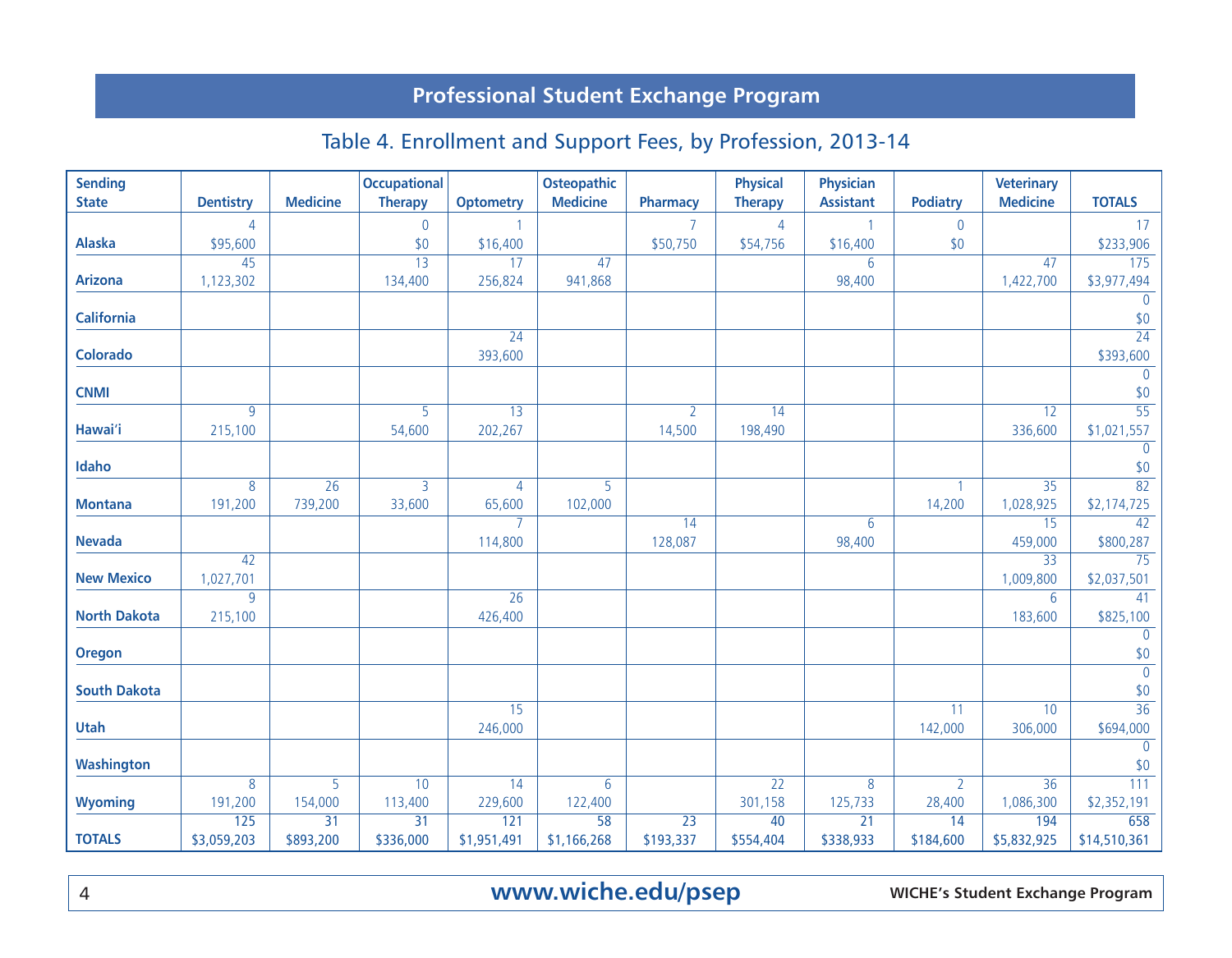# Table 4. Enrollment and Support Fees, by Profession, 2013-14

| <b>Sending</b>      |                  |                 | <b>Occupational</b> |                  | <b>Osteopathic</b> |                 | <b>Physical</b> | <b>Physician</b> |                 | <b>Veterinary</b> |                                   |
|---------------------|------------------|-----------------|---------------------|------------------|--------------------|-----------------|-----------------|------------------|-----------------|-------------------|-----------------------------------|
| <b>State</b>        | <b>Dentistry</b> | <b>Medicine</b> | <b>Therapy</b>      | <b>Optometry</b> | <b>Medicine</b>    | Pharmacy        | <b>Therapy</b>  | <b>Assistant</b> | <b>Podiatry</b> | <b>Medicine</b>   | <b>TOTALS</b>                     |
|                     | $\overline{4}$   |                 | $\mathbf 0$         | $\mathbf{1}$     |                    | $\overline{7}$  | $\overline{4}$  | $\overline{1}$   | $\mathbf 0$     |                   | 17                                |
| <b>Alaska</b>       | \$95,600         |                 | \$0                 | \$16,400         |                    | \$50,750        | \$54,756        | \$16,400         | \$0             |                   | \$233,906                         |
|                     | 45               |                 | $\overline{13}$     | 17               | 47                 |                 |                 | 6                |                 | 47                | $\frac{175}{175}$                 |
| <b>Arizona</b>      | 1,123,302        |                 | 134,400             | 256,824          | 941,868            |                 |                 | 98,400           |                 | 1,422,700         | \$3,977,494                       |
| <b>California</b>   |                  |                 |                     |                  |                    |                 |                 |                  |                 |                   | $\overline{0}$<br>$\frac{$0}{24}$ |
|                     |                  |                 |                     | 24               |                    |                 |                 |                  |                 |                   |                                   |
| <b>Colorado</b>     |                  |                 |                     | 393,600          |                    |                 |                 |                  |                 |                   | \$393,600                         |
|                     |                  |                 |                     |                  |                    |                 |                 |                  |                 |                   | $\overline{0}$                    |
| <b>CNMI</b>         |                  |                 |                     |                  |                    |                 |                 |                  |                 |                   | \$0                               |
|                     | 9                |                 | 5                   | $\overline{13}$  |                    | $\overline{2}$  | $\overline{14}$ |                  |                 | $\overline{12}$   | $\overline{55}$                   |
| Hawai'i             | 215,100          |                 | 54,600              | 202,267          |                    | 14,500          | 198,490         |                  |                 | 336,600           | \$1,021,557                       |
| Idaho               |                  |                 |                     |                  |                    |                 |                 |                  |                 |                   | $\overline{0}$<br>\$0             |
|                     | 8                | 26              | 3                   | $\overline{4}$   | $\overline{5}$     |                 |                 |                  | $\mathbf{1}$    | 35                | 82                                |
| <b>Montana</b>      | 191,200          | 739,200         | 33,600              | 65,600           | 102,000            |                 |                 |                  | 14,200          | 1,028,925         | \$2,174,725                       |
|                     |                  |                 |                     | $\overline{7}$   |                    | $\overline{14}$ |                 | 6                |                 | 15                | 42                                |
| <b>Nevada</b>       |                  |                 |                     | 114,800          |                    | 128,087         |                 | 98,400           |                 | 459,000           | \$800,287                         |
|                     | 42               |                 |                     |                  |                    |                 |                 |                  |                 | $\overline{33}$   | 75                                |
| <b>New Mexico</b>   | 1,027,701        |                 |                     |                  |                    |                 |                 |                  |                 | 1,009,800         | \$2,037,501                       |
|                     | 9                |                 |                     | $\overline{26}$  |                    |                 |                 |                  |                 | 6                 | 41                                |
| <b>North Dakota</b> | 215,100          |                 |                     | 426,400          |                    |                 |                 |                  |                 | 183,600           | \$825,100                         |
|                     |                  |                 |                     |                  |                    |                 |                 |                  |                 |                   | $\overline{0}$                    |
| <b>Oregon</b>       |                  |                 |                     |                  |                    |                 |                 |                  |                 |                   | \$0<br>$\overline{0}$             |
| <b>South Dakota</b> |                  |                 |                     |                  |                    |                 |                 |                  |                 |                   | \$0                               |
|                     |                  |                 |                     | 15               |                    |                 |                 |                  | 11              | 10                | $\overline{36}$                   |
| Utah                |                  |                 |                     | 246,000          |                    |                 |                 |                  | 142,000         | 306,000           | \$694,000                         |
|                     |                  |                 |                     |                  |                    |                 |                 |                  |                 |                   | $\overline{0}$                    |
| Washington          |                  |                 |                     |                  |                    |                 |                 |                  |                 |                   | \$0                               |
|                     | 8                | 5               | 10                  | 14               | 6                  |                 | $\overline{22}$ | 8                | $\overline{2}$  | $\overline{36}$   | 111                               |
| <b>Wyoming</b>      | 191,200          | 154,000         | 113,400             | 229,600          | 122,400            |                 | 301,158         | 125,733          | 28,400          | 1,086,300         | \$2,352,191                       |
|                     | 125              | $\overline{31}$ | $\overline{31}$     | 121              | $\overline{58}$    | $\overline{23}$ | 40              | $\overline{21}$  | 14              | 194               | 658                               |
| <b>TOTALS</b>       | \$3,059,203      | \$893,200       | \$336,000           | \$1,951,491      | \$1,166,268        | \$193,337       | \$554,404       | \$338,933        | \$184,600       | \$5,832,925       | \$14,510,361                      |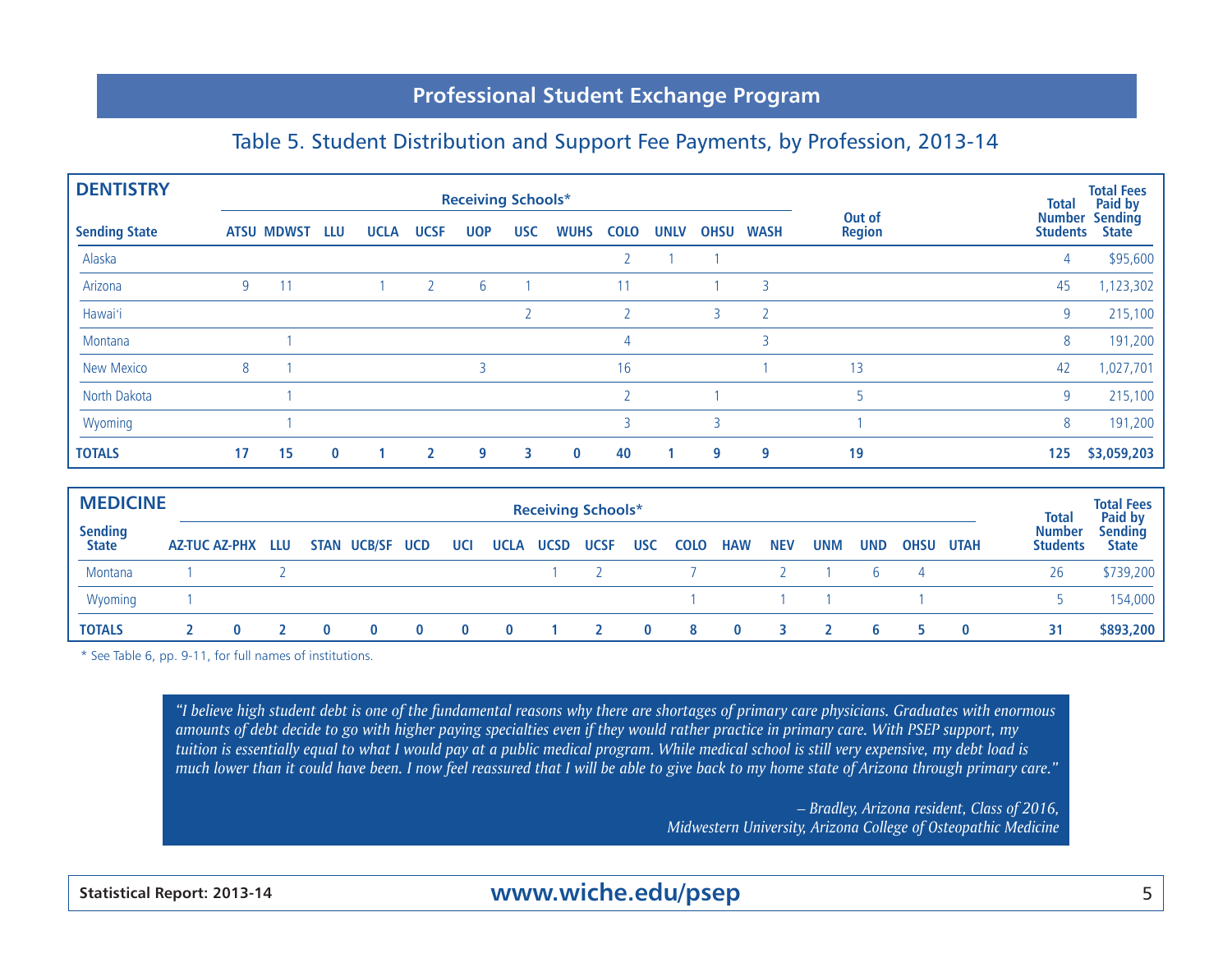#### Table 5. Student Distribution and Support Fee Payments, by Profession, 2013-14

| <b>DENTISTRY</b>     |    |                   |          |             |             | <b>Receiving Schools*</b> |            |             |             |             |             |             |                         | <b>Total</b>    | <b>Total Fees</b><br>Paid by          |
|----------------------|----|-------------------|----------|-------------|-------------|---------------------------|------------|-------------|-------------|-------------|-------------|-------------|-------------------------|-----------------|---------------------------------------|
| <b>Sending State</b> |    | <b>ATSU MDWST</b> | LLU      | <b>UCLA</b> | <b>UCSF</b> | <b>UOP</b>                | <b>USC</b> | <b>WUHS</b> | <b>COLO</b> | <b>UNLV</b> | <b>OHSU</b> | <b>WASH</b> | Out of<br><b>Region</b> | <b>Students</b> | <b>Number Sending</b><br><b>State</b> |
| Alaska               |    |                   |          |             |             |                           |            |             |             |             |             |             |                         | 4               | \$95,600                              |
| Arizona              | 9  |                   |          |             |             | 6                         |            |             | 11          |             |             | 3           |                         | 45              | 1,123,302                             |
| Hawai'i              |    |                   |          |             |             |                           |            |             |             |             | 3           |             |                         | 9               | 215,100                               |
| Montana              |    |                   |          |             |             |                           |            |             | 4           |             |             |             |                         | 8               | 191,200                               |
| <b>New Mexico</b>    | 8  |                   |          |             |             |                           |            |             | 16          |             |             |             | 13                      | 42              | 1,027,701                             |
| North Dakota         |    |                   |          |             |             |                           |            |             |             |             |             |             |                         | 9               | 215,100                               |
| Wyoming              |    |                   |          |             |             |                           |            |             |             |             |             |             |                         | 8               | 191,200                               |
| <b>TOTALS</b>        | 17 | 15                | $\bf{0}$ |             |             | 9                         | 3          | $\bf{0}$    | 40          |             | 9           | 9           | 19                      | 125             | \$3,059,203                           |

| <b>MEDICINE</b>  |                   |  |                 |     |                       | <b>Receiving Schools*</b> |          |              |            |            |            |                |      | <b>Total</b>                     | <b>Total Fees</b>                         |
|------------------|-------------------|--|-----------------|-----|-----------------------|---------------------------|----------|--------------|------------|------------|------------|----------------|------|----------------------------------|-------------------------------------------|
| Sending<br>State | AZ-TUC AZ-PHX LLU |  | STAN UCB/SF UCD | UCI | <b>UCLA UCSD UCSF</b> |                           | USC COLO | <b>HAW</b>   | <b>NEV</b> | <b>UNM</b> | <b>UND</b> | <b>OHSU</b>    | UTAH | <b>Number</b><br><b>Students</b> | <b>Paid by</b><br>Sending<br><b>State</b> |
| Montana          |                   |  |                 |     |                       |                           |          |              |            |            | <b>b</b>   | $\overline{4}$ |      | 26                               | \$739,200                                 |
| Wyoming          |                   |  |                 |     |                       |                           |          |              |            |            |            |                |      |                                  | 154,000                                   |
| <b>TOTALS</b>    |                   |  |                 |     |                       |                           |          | $\mathbf{0}$ |            |            | b          |                |      | 31                               | \$893,200                                 |

\* See Table 6, pp. 9-11, for full names of institutions.

*"I believe high student debt is one of the fundamental reasons why there are shortages of primary care physicians. Graduates with enormous amounts of debt decide to go with higher paying specialties even if they would rather practice in primary care. With PSEP support, my tuition is essentially equal to what I would pay at a public medical program. While medical school is still very expensive, my debt load is much lower than it could have been. I now feel reassured that I will be able to give back to my home state of Arizona through primary care."*

> *– Bradley, Arizona resident, Class of 2016, Midwestern University, Arizona College of Osteopathic Medicine*

**Statistical Report: 2013-14** 5 **www.wiche.edu/psep**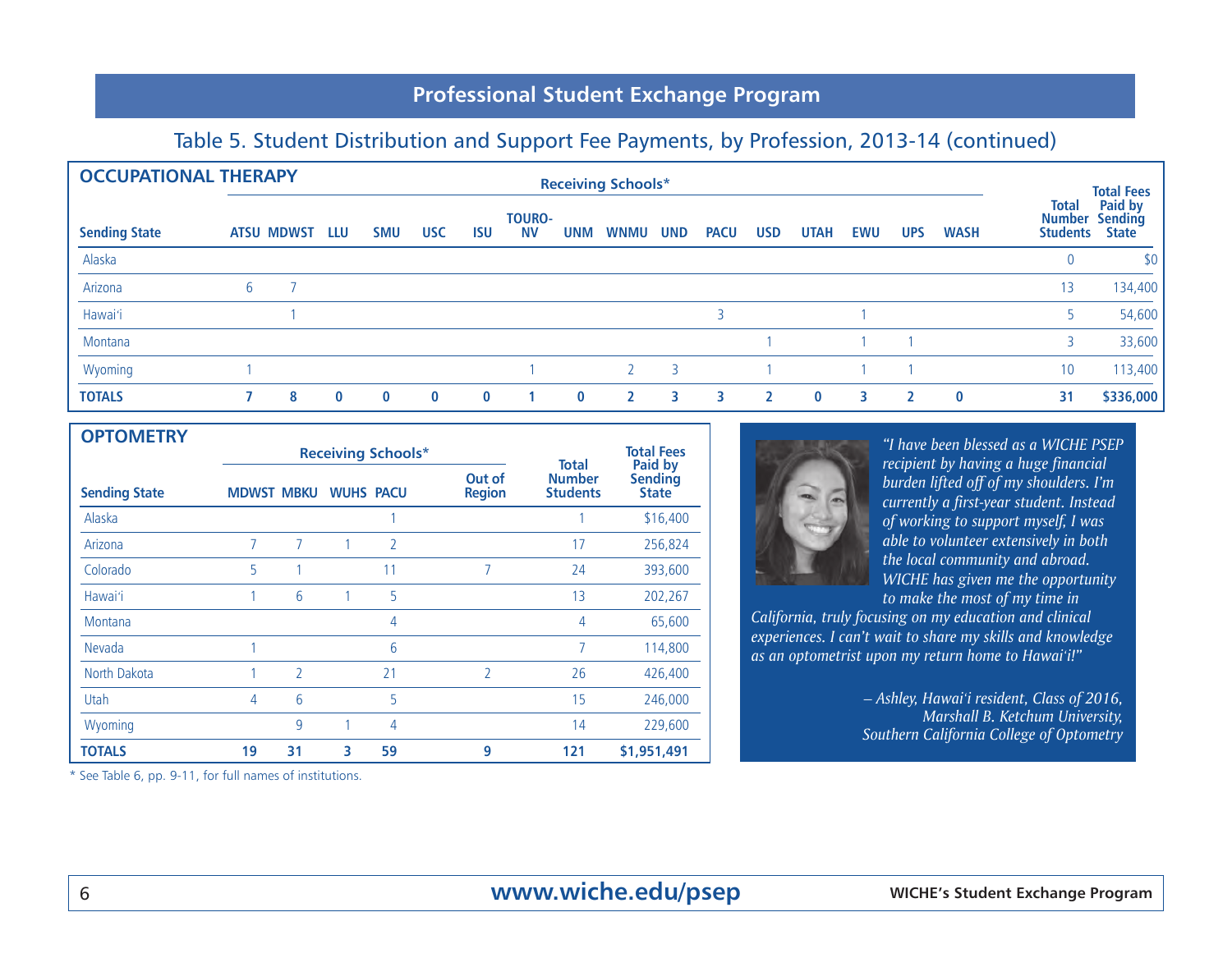#### Table 5. Student Distribution and Support Fee Payments, by Profession, 2013-14 (continued)

| <b>OCCUPATIONAL THERAPY</b> |                   |          |            |            |            |                            |            | <b>Receiving Schools*</b> |                |             |            |             |            |            |             |                                                  | <b>Total Fees</b>                  |
|-----------------------------|-------------------|----------|------------|------------|------------|----------------------------|------------|---------------------------|----------------|-------------|------------|-------------|------------|------------|-------------|--------------------------------------------------|------------------------------------|
| <b>Sending State</b>        | <b>ATSU MDWST</b> | LLU      | <b>SMU</b> | <b>USC</b> | <b>ISU</b> | <b>TOURO-</b><br><b>NV</b> | <b>UNM</b> | <b>WNMU</b>               | <b>UND</b>     | <b>PACU</b> | <b>USD</b> | <b>UTAH</b> | <b>EWU</b> | <b>UPS</b> | <b>WASH</b> | <b>Total</b><br><b>Number</b><br><b>Students</b> | Paid by<br>Sending<br><b>State</b> |
| Alaska                      |                   |          |            |            |            |                            |            |                           |                |             |            |             |            |            |             | $\overline{0}$                                   | \$0                                |
| Arizona                     |                   |          |            |            |            |                            |            |                           |                |             |            |             |            |            |             | 13                                               | 134,400                            |
| Hawai'i                     |                   |          |            |            |            |                            |            |                           |                |             |            |             |            |            |             |                                                  | 54,600                             |
| Montana                     |                   |          |            |            |            |                            |            |                           |                |             |            |             |            |            |             | 3                                                | 33,600                             |
| Wyoming                     |                   |          |            |            |            |                            |            | $\mathcal{L}$             | $\overline{3}$ |             |            |             |            |            |             | 10                                               | 113,400                            |
| <b>TOTALS</b>               | 8                 | $\bf{0}$ | $\bf{0}$   | $\bf{0}$   | $\bf{0}$   |                            | $\bf{0}$   | $\overline{2}$            | २              | 3           |            | $\bf{0}$    | 3          |            | $\bf{0}$    | 31                                               | \$336,000                          |

| <b>OPTOMETRY</b>     |                   |                          |                  |                           |                         |                                  |                              |
|----------------------|-------------------|--------------------------|------------------|---------------------------|-------------------------|----------------------------------|------------------------------|
|                      |                   |                          |                  | <b>Receiving Schools*</b> |                         | Total                            | <b>Total Fees</b><br>Paid by |
| <b>Sending State</b> | <b>MDWST MBKU</b> |                          | <b>WUHS PACU</b> |                           | Out of<br><b>Region</b> | <b>Number</b><br><b>Students</b> | Sending<br><b>State</b>      |
| Alaska               |                   |                          |                  |                           |                         |                                  | \$16,400                     |
| Arizona              | 7                 | 7                        |                  | $\overline{2}$            |                         | 17                               | 256,824                      |
| Colorado             | 5                 |                          |                  | 11                        | 7                       | 24                               | 393,600                      |
| Hawai'i              |                   | 6                        |                  | 5                         |                         | 13                               | 202,267                      |
| Montana              |                   |                          |                  | 4                         |                         | 4                                | 65,600                       |
| Nevada               |                   |                          |                  | 6                         |                         | 7                                | 114,800                      |
| North Dakota         |                   | $\overline{\phantom{a}}$ |                  | 21                        | $\overline{2}$          | 26                               | 426,400                      |
| Utah                 | 4                 | 6                        |                  | 5                         |                         | 15                               | 246,000                      |
| Wyoming              |                   | 9                        |                  | 4                         |                         | 14                               | 229,600                      |
| <b>TOTALS</b>        | 19                | 31                       | 3                | 59                        | 9                       | 121                              | \$1,951,491                  |

\* See Table 6, pp. 9-11, for full names of institutions.



*"I have been blessed as a WICHE PSEP recipient by having a huge financial burden lifted off of my shoulders. I'm currently a first-year student. Instead of working to support myself, I was able to volunteer extensively in both the local community and abroad. WICHE has given me the opportunity to make the most of my time in* 

*California, truly focusing on my education and clinical experiences. I can't wait to share my skills and knowledge as an optometrist upon my return home to Hawai*'*i!"*

> *– Ashley, Hawai*'*i resident, Class of 2016, Marshall B. Ketchum University, Southern California College of Optometry*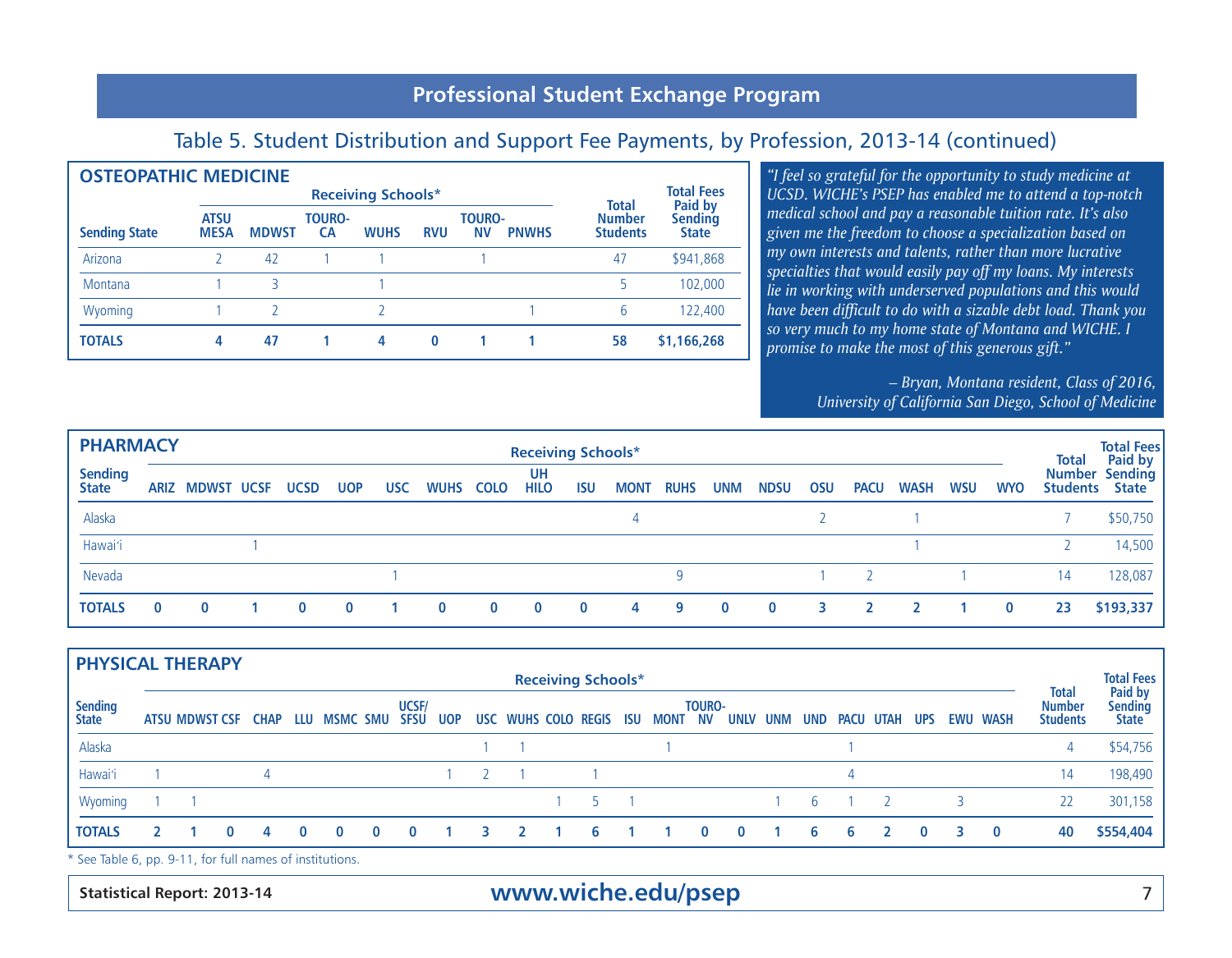#### Table 5. Student Distribution and Support Fee Payments, by Profession, 2013-14 (continued)

| <b>OSTEOPATHIC MEDICINE</b> |                            |              |                               |                                  |                         |  |              |                              |
|-----------------------------|----------------------------|--------------|-------------------------------|----------------------------------|-------------------------|--|--------------|------------------------------|
|                             |                            |              | <b>Receiving Schools*</b>     |                                  |                         |  | <b>Total</b> | <b>Total Fees</b><br>Paid by |
| <b>Sending State</b>        | <b>ATSU</b><br><b>MESA</b> | <b>MDWST</b> | <b>TOURO-</b><br><b>PNWHS</b> | <b>Number</b><br><b>Students</b> | Sending<br><b>State</b> |  |              |                              |
| Arizona                     |                            | 42           |                               |                                  |                         |  | 47           | \$941,868                    |
| Montana                     |                            | 3            |                               |                                  |                         |  | 5            | 102,000                      |
| Wyoming                     |                            |              |                               |                                  |                         |  | 6            | 122,400                      |
| <b>TOTALS</b>               | 4                          | 47           | 4                             | $\bf{0}$                         |                         |  | 58           | \$1,166,268                  |

*"I feel so grateful for the opportunity to study medicine at UCSD. WICHE's PSEP has enabled me to attend a top-notch medical school and pay a reasonable tuition rate. It's also given me the freedom to choose a specialization based on my own interests and talents, rather than more lucrative specialties that would easily pay off my loans. My interests lie in working with underserved populations and this would have been difficult to do with a sizable debt load. Thank you so very much to my home state of Montana and WICHE. I promise to make the most of this generous gift."*

> *– Bryan, Montana resident, Class of 2016, University of California San Diego, School of Medicine*

| <b>PHARMACY</b>                |              |                        |              |            |            |             |             | <b>Receiving Schools*</b> |            |             |             |            |             |     |             |             |            |            | <b>Total</b> | <b>Total Fees</b><br>Paid by                   |
|--------------------------------|--------------|------------------------|--------------|------------|------------|-------------|-------------|---------------------------|------------|-------------|-------------|------------|-------------|-----|-------------|-------------|------------|------------|--------------|------------------------------------------------|
| <b>Sending</b><br><b>State</b> |              | <b>ARIZ MDWST UCSF</b> | <b>UCSD</b>  | <b>UOP</b> | <b>USC</b> | <b>WUHS</b> | <b>COLO</b> | <b>UH</b><br><b>HILO</b>  | <b>ISU</b> | <b>MONT</b> | <b>RUHS</b> | <b>UNM</b> | <b>NDSU</b> | OSU | <b>PACU</b> | <b>WASH</b> | <b>WSU</b> | <b>WYO</b> |              | <b>Number Sending</b><br><b>Students</b> State |
| Alaska                         |              |                        |              |            |            |             |             |                           |            |             |             |            |             |     |             |             |            |            |              | \$50,750                                       |
| Hawai'i                        |              |                        |              |            |            |             |             |                           |            |             |             |            |             |     |             |             |            |            |              | 14,500                                         |
| Nevada                         |              |                        |              |            |            |             |             |                           |            |             | -9          |            |             |     |             |             |            |            | 14           | 128,087                                        |
| <b>TOTALS</b>                  | $\mathbf{0}$ | $\bf{0}$               | $\mathbf{0}$ | $\bf{0}$   |            | $\bf{0}$    | $\bf{0}$    | $\bf{0}$                  | $\bf{0}$   | 4           | 9           | $\bf{0}$   | $\bf{0}$    |     |             |             |            | $\bf{0}$   | 23           | \$193,337                                      |

| <b>PHYSICAL THERAPY</b>        |  |              |                                  |          |          |          |                      |            |    |                                 |                           |  |               |          |     |     |   |           |            |   |                 |                                  |                              |
|--------------------------------|--|--------------|----------------------------------|----------|----------|----------|----------------------|------------|----|---------------------------------|---------------------------|--|---------------|----------|-----|-----|---|-----------|------------|---|-----------------|----------------------------------|------------------------------|
|                                |  |              |                                  |          |          |          |                      |            |    |                                 | <b>Receiving Schools*</b> |  |               |          |     |     |   |           |            |   |                 | <b>Total</b>                     | <b>Total Fees</b><br>Paid by |
| <b>Sending</b><br><b>State</b> |  |              | ATSU MDWST CSF CHAP LLU MSMC SMU |          |          |          | UCSF/<br><b>SFSU</b> | <b>UOP</b> |    | USC WUHS COLO REGIS ISU MONT NV |                           |  | <b>TOURO-</b> | UNLV     | UNM | UND |   | PACU UTAH | <b>UPS</b> |   | <b>EWU WASH</b> | <b>Number</b><br><b>Students</b> | Sending<br><b>State</b>      |
| Alaska                         |  |              |                                  |          |          |          |                      |            |    |                                 |                           |  |               |          |     |     |   |           |            |   |                 |                                  | \$54,756                     |
| Hawai'i                        |  |              | $\Delta$                         |          |          |          |                      |            |    |                                 |                           |  |               |          |     |     |   |           |            |   |                 | 14                               | 198,490                      |
| Wyoming                        |  |              |                                  |          |          |          |                      |            |    |                                 |                           |  |               |          |     | 6   |   |           |            |   |                 | 22                               | 301,158                      |
| <b>TOTALS</b>                  |  | $\mathbf{0}$ | 4                                | $\bf{0}$ | $\bf{0}$ | $\bf{0}$ | $\bf{0}$             |            | з. |                                 | 6                         |  |               | $\bf{0}$ |     | 6.  | 6 |           | $\bf{0}$   | 3 | $\bf{0}$        | 40                               | \$554,404                    |
|                                |  |              |                                  |          |          |          |                      |            |    |                                 |                           |  |               |          |     |     |   |           |            |   |                 |                                  |                              |

See Table 6, pp. 9-11, for full names of institutions.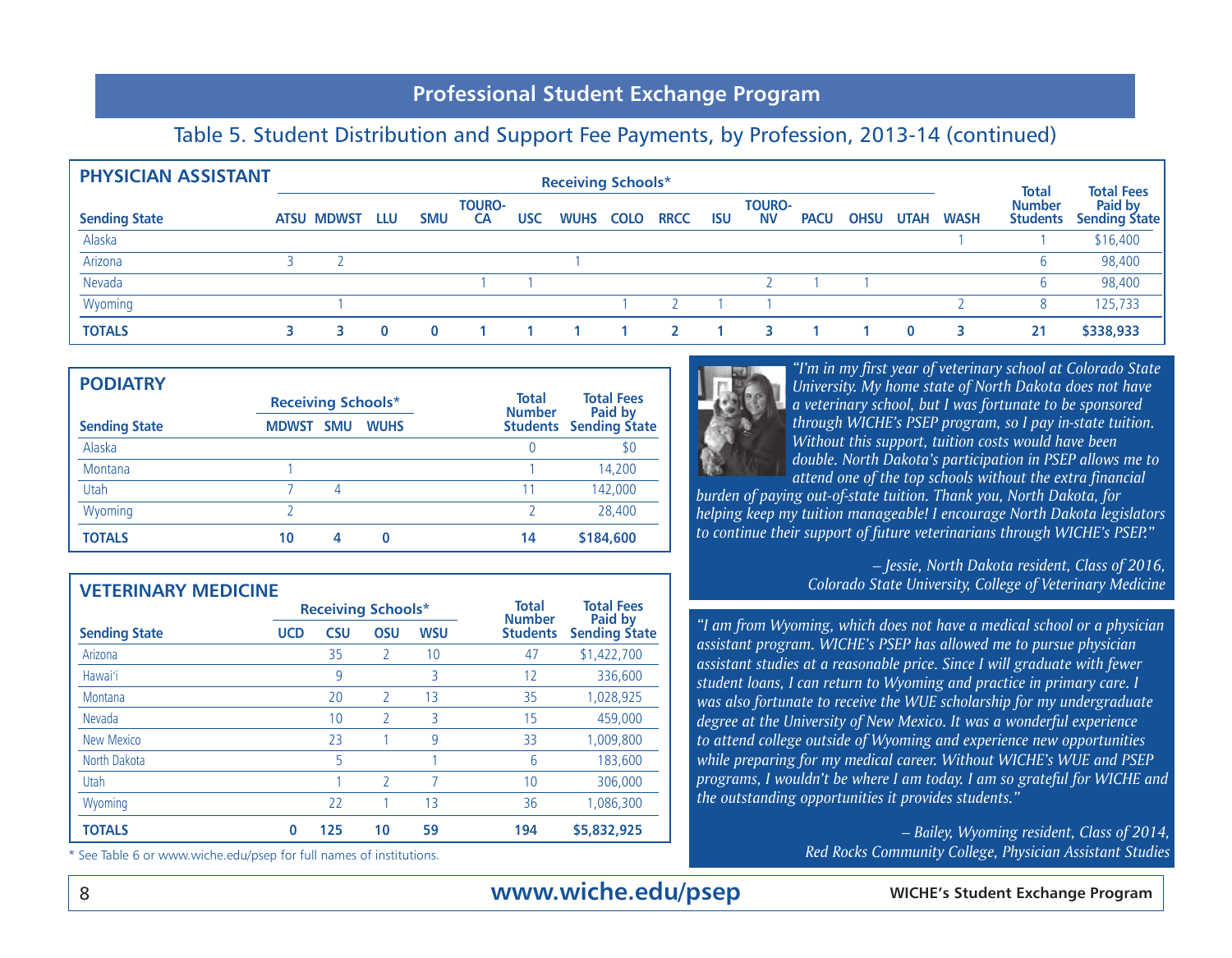## Table 5. Student Distribution and Support Fee Payments, by Profession, 2013-14 (continued)

| <b>PHYSICIAN ASSISTANT</b> |                   |     |            |                            |     | <b>Receiving Schools*</b> |             |             |            |                            |             |             |             |             | <b>Total</b>                     | <b>Total Fees</b>               |
|----------------------------|-------------------|-----|------------|----------------------------|-----|---------------------------|-------------|-------------|------------|----------------------------|-------------|-------------|-------------|-------------|----------------------------------|---------------------------------|
| <b>Sending State</b>       | <b>ATSU MDWST</b> | LLU | <b>SMU</b> | <b>TOURO-</b><br><b>CA</b> | USC | <b>WUHS</b>               | <b>COLO</b> | <b>RRCC</b> | <b>ISU</b> | <b>TOURO-</b><br><b>NV</b> | <b>PACU</b> | <b>OHSU</b> | <b>UTAH</b> | <b>WASH</b> | <b>Number</b><br><b>Students</b> | Paid by<br><b>Sending State</b> |
| Alaska                     |                   |     |            |                            |     |                           |             |             |            |                            |             |             |             |             |                                  | \$16,400                        |
| Arizona                    |                   |     |            |                            |     |                           |             |             |            |                            |             |             |             |             | b                                | 98,400                          |
| Nevada                     |                   |     |            |                            |     |                           |             |             |            |                            |             |             |             |             | b                                | 98,400                          |
| Wyoming                    |                   |     |            |                            |     |                           |             |             |            |                            |             |             |             |             | 8                                | 125,733                         |
| <b>TOTALS</b>              |                   |     |            |                            |     |                           |             |             |            |                            |             |             | $\bf{0}$    |             | 21                               | \$338,933                       |

| <b>PODIATRY</b>      |                            |             |                               |                               |
|----------------------|----------------------------|-------------|-------------------------------|-------------------------------|
|                      | <b>Receiving Schools*</b>  |             | <b>Total</b><br><b>Number</b> | <b>Total Fees</b><br>Paid by  |
| <b>Sending State</b> | <b>SMU</b><br><b>MDWST</b> | <b>WUHS</b> |                               | <b>Students</b> Sending State |
| Alaska               |                            |             |                               | \$0                           |
| Montana              |                            |             |                               | 14,200                        |
| Utah                 | 4                          |             | 11                            | 142,000                       |
| Wyoming              |                            |             |                               | 28,400                        |
| <b>TOTALS</b>        | 10<br>4                    | O           | 14                            | \$184,600                     |

| <b>VETERINARY MEDICINE</b> |                           |            |                |            |                               |                              |
|----------------------------|---------------------------|------------|----------------|------------|-------------------------------|------------------------------|
|                            | <b>Receiving Schools*</b> |            |                |            | <b>Total</b><br><b>Number</b> | <b>Total Fees</b><br>Paid by |
| <b>Sending State</b>       | <b>UCD</b>                | <b>CSU</b> | <b>OSU</b>     | <b>WSU</b> | <b>Students</b>               | <b>Sending State</b>         |
| Arizona                    |                           | 35         | $\mathfrak{I}$ | 10         | 47                            | \$1,422,700                  |
| Hawai'i                    |                           | 9          |                | 3          | 12                            | 336,600                      |
| Montana                    |                           | 20         | $\mathcal{L}$  | 13         | 35                            | 1,028,925                    |
| Nevada                     |                           | 10         |                | 3          | 15                            | 459,000                      |
| New Mexico                 |                           | 23         |                | 9          | 33                            | 1,009,800                    |
| North Dakota               |                           | 5          |                |            | 6                             | 183,600                      |
| Utah                       |                           |            | $\mathcal{D}$  | 7          | 10                            | 306,000                      |
| Wyoming                    |                           | 22         |                | 13         | 36                            | 1,086,300                    |
| <b>TOTALS</b>              | $\bf{0}$                  | 125        | 10             | 59         | 194                           | \$5,832,925                  |

\* See Table 6 or www.wiche.edu/psep for full names of institutions.



*"I'm in my first year of veterinary school at Colorado State University. My home state of North Dakota does not have a veterinary school, but I was fortunate to be sponsored through WICHE's PSEP program, so I pay in-state tuition. Without this support, tuition costs would have been double. North Dakota's participation in PSEP allows me to attend one of the top schools without the extra financial* 

*burden of paying out-of-state tuition. Thank you, North Dakota, for helping keep my tuition manageable! I encourage North Dakota legislators to continue their support of future veterinarians through WICHE's PSEP."* 

> *– Jessie, North Dakota resident, Class of 2016, Colorado State University, College of Veterinary Medicine*

*"I am from Wyoming, which does not have a medical school or a physician assistant program. WICHE's PSEP has allowed me to pursue physician assistant studies at a reasonable price. Since I will graduate with fewer student loans, I can return to Wyoming and practice in primary care. I was also fortunate to receive the WUE scholarship for my undergraduate degree at the University of New Mexico. It was a wonderful experience to attend college outside of Wyoming and experience new opportunities while preparing for my medical career. Without WICHE's WUE and PSEP programs, I wouldn't be where I am today. I am so grateful for WICHE and the outstanding opportunities it provides students."*

> *– Bailey, Wyoming resident, Class of 2014, Red Rocks Community College, Physician Assistant Studies*

## 8 **WICHE's Student Exchange Program www.wiche.edu/psep**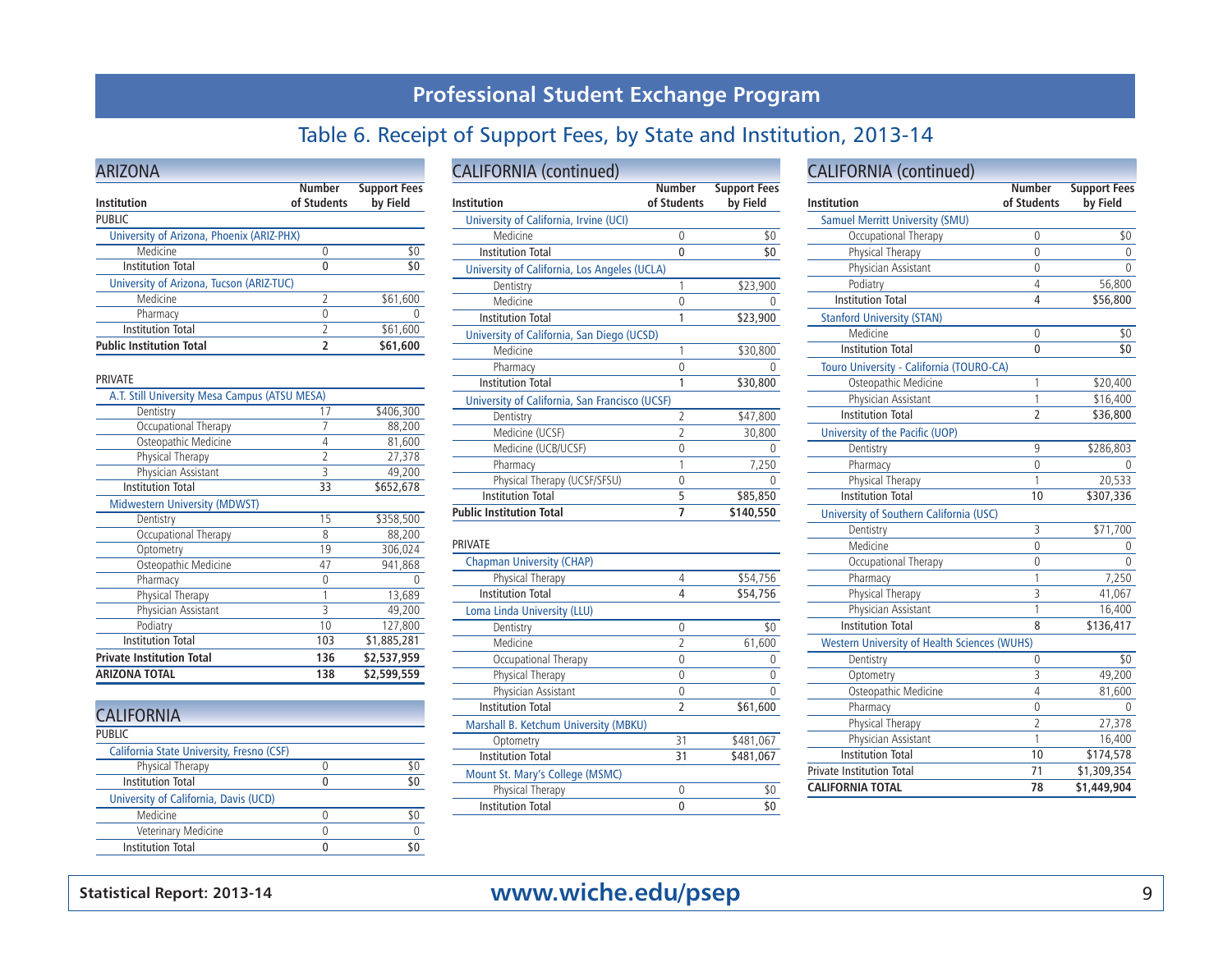## Table 6. Receipt of Support Fees, by State and Institution, 2013-14

| <b>ARIZONA</b>                            |                              |                                 |
|-------------------------------------------|------------------------------|---------------------------------|
| Institution                               | <b>Number</b><br>of Students | <b>Support Fees</b><br>by Field |
| <b>PUBLIC</b>                             |                              |                                 |
| University of Arizona, Phoenix (ARIZ-PHX) |                              |                                 |
| Medicine                                  |                              | \$0                             |
| <b>Institution Total</b>                  |                              | \$0                             |
| University of Arizona, Tucson (ARIZ-TUC)  |                              |                                 |
| Medicine                                  | $\mathcal{P}$                | \$61,600                        |
| Pharmacy                                  |                              |                                 |
| <b>Institution Total</b>                  | $\overline{\phantom{a}}$     | \$61,600                        |
| <b>Public Institution Total</b>           |                              | \$61,600                        |

#### PRIVATE

| <b>ARIZONA TOTAL</b>                          | 138            | \$2,599,559 |
|-----------------------------------------------|----------------|-------------|
| <b>Private Institution Total</b>              | 136            | \$2,537,959 |
| <b>Institution Total</b>                      | 103            | \$1,885,281 |
| Podiatry                                      | 10             | 127,800     |
| Physician Assistant                           | 3              | 49,200      |
| Physical Therapy                              | 1              | 13,689      |
| Pharmacy                                      | 0              | Λ           |
| Osteopathic Medicine                          | 47             | 941,868     |
| Optometry                                     | 19             | 306,024     |
| Occupational Therapy                          | 8              | 88,200      |
| Dentistry                                     | 15             | \$358,500   |
| <b>Midwestern University (MDWST)</b>          |                |             |
| <b>Institution Total</b>                      | 33             | \$652,678   |
| Physician Assistant                           | 3              | 49,200      |
| Physical Therapy                              | $\overline{2}$ | 27,378      |
| Osteopathic Medicine                          | 4              | 81,600      |
| Occupational Therapy                          | 7              | 88,200      |
| Dentistry                                     | 17             | \$406,300   |
| A.T. Still University Mesa Campus (ATSU MESA) |                |             |

| <b>CALIFORNIA</b>                         |     |
|-------------------------------------------|-----|
| <b>PUBLIC</b>                             |     |
| California State University, Fresno (CSF) |     |
| Physical Therapy                          | \$0 |
| <b>Institution Total</b>                  | \$0 |
| University of California, Davis (UCD)     |     |
| Medicine                                  |     |
| Veterinary Medicine                       |     |
| <b>Institution Total</b>                  |     |
|                                           |     |

## CALIFORNIA (continued)

| Institution                                    | <b>Number</b><br>of Students | <b>Support Fees</b><br>by Field |
|------------------------------------------------|------------------------------|---------------------------------|
| University of California, Irvine (UCI)         |                              |                                 |
| Medicine                                       | 0                            | \$0                             |
| <b>Institution Total</b>                       | 0                            | \$0                             |
| University of California, Los Angeles (UCLA)   |                              |                                 |
| Dentistry                                      |                              | \$23,900                        |
| Medicine                                       | Λ                            |                                 |
| <b>Institution Total</b>                       |                              | \$23,900                        |
| University of California, San Diego (UCSD)     |                              |                                 |
| Medicine                                       |                              | \$30,800                        |
| Pharmacy                                       | Λ                            |                                 |
| <b>Institution Total</b>                       |                              | \$30,800                        |
| University of California, San Francisco (UCSF) |                              |                                 |
| Dentistry                                      | 2                            | \$47,800                        |
| Medicine (UCSF)                                | 2                            | 30,800                          |
| Medicine (UCB/UCSF)                            | 0                            |                                 |
| Pharmacy                                       |                              | 7,250                           |
| Physical Therapy (UCSF/SFSU)                   | 0                            |                                 |
| <b>Institution Total</b>                       | 5                            | \$85,850                        |
| <b>Public Institution Total</b>                |                              | \$140,550                       |

#### PRIVATE

| <b>Chapman University (CHAP)</b>      |                |           |
|---------------------------------------|----------------|-----------|
| Physical Therapy                      | 4              | \$54,756  |
| <b>Institution Total</b>              | 4              | \$54,756  |
| Loma Linda University (LLU)           |                |           |
| Dentistry                             | 0              | \$0       |
| Medicine                              | $\mathfrak{D}$ | 61,600    |
| Occupational Therapy                  | 0              | 0         |
| Physical Therapy                      | 0              | 0         |
| Physician Assistant                   | 0              | $\Omega$  |
| <b>Institution Total</b>              | 2              | \$61,600  |
| Marshall B. Ketchum University (MBKU) |                |           |
| Optometry                             | 31             | \$481,067 |
| <b>Institution Total</b>              | 31             | \$481,067 |
| Mount St. Mary's College (MSMC)       |                |           |
| Physical Therapy                      | U              | \$0       |
| <b>Institution Total</b>              |                | 50        |

| <b>CALIFORNIA</b> (continued)                       | <b>Number</b>  | <b>Support Fees</b> |
|-----------------------------------------------------|----------------|---------------------|
| Institution                                         | of Students    | by Field            |
| <b>Samuel Merritt University (SMU)</b>              |                |                     |
| Occupational Therapy                                | 0              | \$0                 |
| Physical Therapy                                    | 0              | 0                   |
| Physician Assistant                                 | 0              | 0                   |
| Podiatry                                            | 4              | 56,800              |
| <b>Institution Total</b>                            | 4              | \$56,800            |
| <b>Stanford University (STAN)</b>                   |                |                     |
| Medicine                                            | $\mathbf{0}$   | \$0                 |
| <b>Institution Total</b>                            | 0              | \$0                 |
| Touro University - California (TOURO-CA)            |                |                     |
| Osteopathic Medicine                                | 1              | \$20,400            |
| Physician Assistant                                 | 1              | \$16,400            |
| <b>Institution Total</b>                            | $\overline{2}$ | \$36,800            |
| University of the Pacific (UOP)                     |                |                     |
| Dentistry                                           | 9              | \$286,803           |
| Pharmacy                                            | 0              | 0                   |
| Physical Therapy                                    | 1              | 20,533              |
| <b>Institution Total</b>                            | 10             | \$307,336           |
| University of Southern California (USC)             |                |                     |
| Dentistry                                           | 3              | \$71,700            |
| Medicine                                            | 0              |                     |
| Occupational Therapy                                | 0              | 0                   |
| Pharmacy                                            | 1              | 7,250               |
| Physical Therapy                                    | 3              | 41,067              |
| Physician Assistant                                 | 1              | 16,400              |
| <b>Institution Total</b>                            | 8              | \$136,417           |
| <b>Western University of Health Sciences (WUHS)</b> |                |                     |
| Dentistry                                           | 0              | \$0                 |
| Optometry                                           | 3              | 49,200              |
| Osteopathic Medicine                                | 4              | 81,600              |
| Pharmacy                                            | 0              | 0                   |
| Physical Therapy                                    | $\overline{2}$ | 27,378              |
| Physician Assistant                                 | 1              | 16,400              |
| <b>Institution Total</b>                            | 10             | \$174,578           |
| <b>Private Institution Total</b>                    | 71             | \$1,309,354         |
| <b>CALIFORNIA TOTAL</b>                             | 78             | \$1,449,904         |

## **Statistical Report: 2013-14** 9 **www.wiche.edu/psep**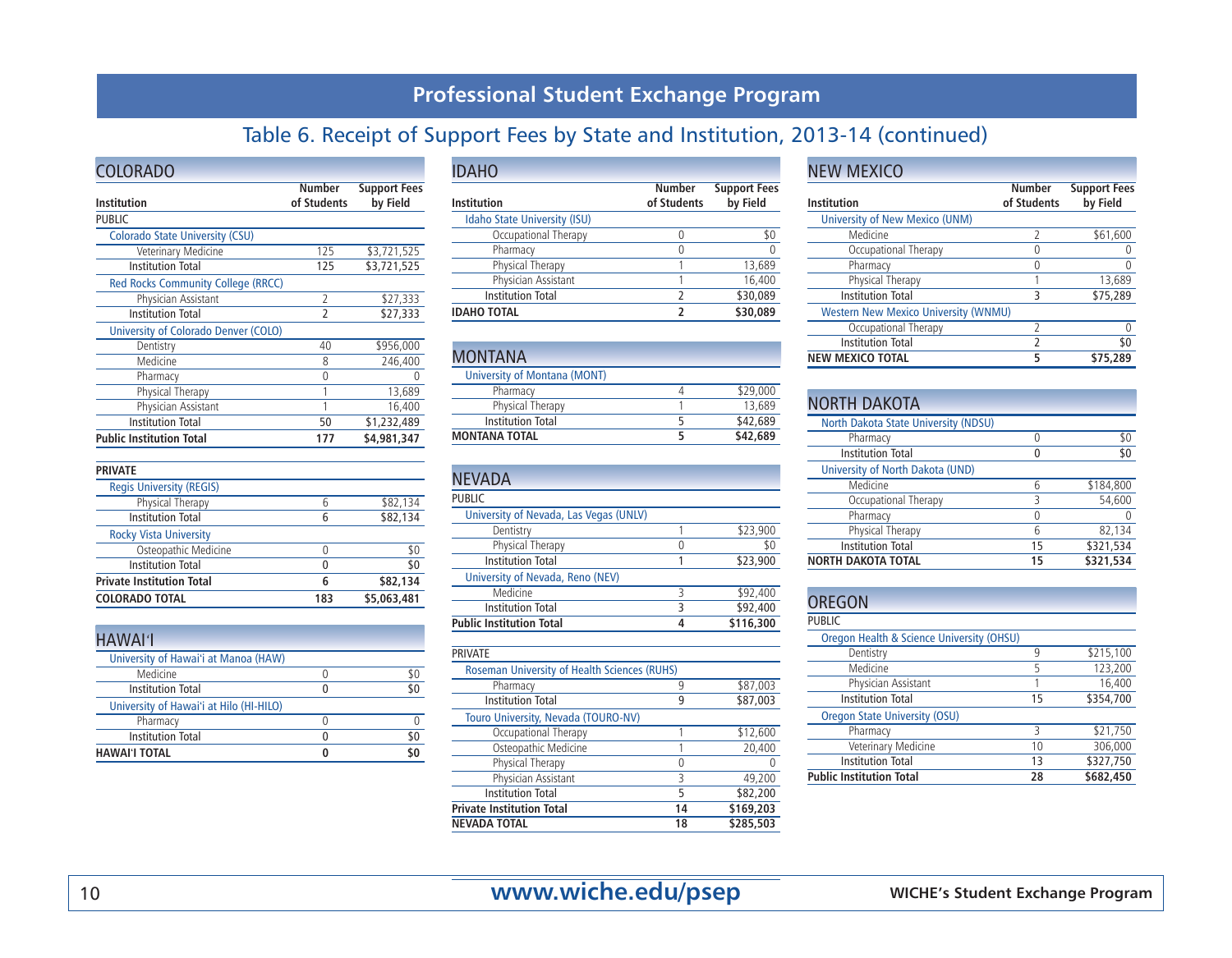# Table 6. Receipt of Support Fees by State and Institution, 2013-14 (continued)

| <b>COLORADO</b>                           |                              |                                 |
|-------------------------------------------|------------------------------|---------------------------------|
| Institution                               | <b>Number</b><br>of Students | <b>Support Fees</b><br>by Field |
| <b>PUBLIC</b>                             |                              |                                 |
| <b>Colorado State University (CSU)</b>    |                              |                                 |
| Veterinary Medicine                       | 125                          | \$3,721,525                     |
| <b>Institution Total</b>                  | 125                          | \$3,721,525                     |
| <b>Red Rocks Community College (RRCC)</b> |                              |                                 |
| Physician Assistant                       | $\overline{2}$               | \$27,333                        |
| <b>Institution Total</b>                  |                              | \$27,333                        |
| University of Colorado Denver (COLO)      |                              |                                 |
| Dentistry                                 | 40                           | \$956,000                       |
| Medicine                                  | 8                            | 246,400                         |
| Pharmacy                                  | 0                            |                                 |
| Physical Therapy                          |                              | 13,689                          |
| Physician Assistant                       |                              | 16,400                          |
| <b>Institution Total</b>                  | 50                           | \$1,232,489                     |
| <b>Public Institution Total</b>           | 177                          | \$4,981,347                     |

| <b>PRIVATE</b>                   |     |             |
|----------------------------------|-----|-------------|
| <b>Regis University (REGIS)</b>  |     |             |
| Physical Therapy                 | 6   | \$82,134    |
| <b>Institution Total</b>         | 6   | \$82,134    |
| <b>Rocky Vista University</b>    |     |             |
| Osteopathic Medicine             | U   | \$0         |
| <b>Institution Total</b>         | 0   | \$0         |
| <b>Private Institution Total</b> | 6   | \$82,134    |
| <b>COLORADO TOTAL</b>            | 183 | \$5,063,481 |
|                                  |     |             |

| HAWAI <sup>1</sup>                      |     |
|-----------------------------------------|-----|
| University of Hawai'i at Manoa (HAW)    |     |
| Medicine                                | \$0 |
| Institution Total                       | \$0 |
| University of Hawai'i at Hilo (HI-HILO) |     |
| Pharmacy                                |     |
| <b>Institution Total</b>                | \$0 |
| <b>HAWAI'I TOTAL</b>                    | \$0 |

| <b>IDAHO</b>                        |                              |                                 |
|-------------------------------------|------------------------------|---------------------------------|
| Institution                         | <b>Number</b><br>of Students | <b>Support Fees</b><br>by Field |
| <b>Idaho State University (ISU)</b> |                              |                                 |
| Occupational Therapy                |                              | \$0                             |
| Pharmacy                            |                              |                                 |
| Physical Therapy                    |                              | 13,689                          |
| Physician Assistant                 |                              | 16,400                          |
| <b>Institution Total</b>            | 2                            | \$30,089                        |
| <b>IDAHO TOTAL</b>                  | 7                            | \$30,089                        |

| <b>MONTANA</b>               |          |
|------------------------------|----------|
| University of Montana (MONT) |          |
| Pharmacy                     | \$29,000 |
| Physical Therapy             | 13,689   |
| Institution Total            | \$42,689 |
| <b>MONTANA TOTAL</b>         | \$42,689 |

| <b>NEVADA</b>                          |   |           |
|----------------------------------------|---|-----------|
| <b>PUBLIC</b>                          |   |           |
| University of Nevada, Las Vegas (UNLV) |   |           |
| Dentistry                              |   | \$23,900  |
| Physical Therapy                       |   | \$0       |
| <b>Institution Total</b>               |   | \$23,900  |
| University of Nevada, Reno (NEV)       |   |           |
| Medicine                               | ς | \$92,400  |
| <b>Institution Total</b>               | 3 | \$92,400  |
| <b>Public Institution Total</b>        |   | \$116,300 |

| <b>PRIVATE</b>                                      |    |           |
|-----------------------------------------------------|----|-----------|
| <b>Roseman University of Health Sciences (RUHS)</b> |    |           |
| Pharmacy                                            | 9  | \$87,003  |
| <b>Institution Total</b>                            | 9  | \$87,003  |
| Touro University, Nevada (TOURO-NV)                 |    |           |
| Occupational Therapy                                |    | \$12,600  |
| Osteopathic Medicine                                |    | 20,400    |
| Physical Therapy                                    | 0  |           |
| Physician Assistant                                 | 3  | 49,200    |
| <b>Institution Total</b>                            | 5  | \$82,200  |
| <b>Private Institution Total</b>                    | 14 | \$169,203 |
| <b>NEVADA TOTAL</b>                                 | 18 | \$285,503 |

#### NEW MEXICO

| <b>Institution</b>                          | <b>Number</b><br>of Students | <b>Support Fees</b><br>by Field |
|---------------------------------------------|------------------------------|---------------------------------|
| <b>University of New Mexico (UNM)</b>       |                              |                                 |
| Medicine                                    | $\mathcal{I}$                | \$61,600                        |
| Occupational Therapy                        |                              |                                 |
| Pharmacy                                    |                              |                                 |
| Physical Therapy                            |                              | 13,689                          |
| <b>Institution Total</b>                    | 3                            | \$75,289                        |
| <b>Western New Mexico University (WNMU)</b> |                              |                                 |
| Occupational Therapy                        | 2                            |                                 |
| <b>Institution Total</b>                    | 2                            |                                 |
| <b>NEW MEXICO TOTAL</b>                     | 5                            | \$75,289                        |

| <b>NORTH DAKOTA</b>                  |    |           |
|--------------------------------------|----|-----------|
| North Dakota State University (NDSU) |    |           |
| Pharmacy                             | U  | \$0       |
| <b>Institution Total</b>             |    | \$0       |
| University of North Dakota (UND)     |    |           |
| Medicine                             | 6  | \$184.800 |
| Occupational Therapy                 | 3  | 54,600    |
| Pharmacy                             | 0  |           |
| Physical Therapy                     | 6  | 82,134    |
| <b>Institution Total</b>             | 15 | \$321,534 |
| <b>NORTH DAKOTA TOTAL</b>            | 15 | \$321,534 |

| <b>OREGON</b>                                        |    |           |
|------------------------------------------------------|----|-----------|
| <b>PUBLIC</b>                                        |    |           |
| <b>Oregon Health &amp; Science University (OHSU)</b> |    |           |
| Dentistry                                            | 9  | \$215,100 |
| Medicine                                             | 5  | 123,200   |
| Physician Assistant                                  |    | 16,400    |
| <b>Institution Total</b>                             | 15 | \$354,700 |
| <b>Oregon State University (OSU)</b>                 |    |           |
| Pharmacy                                             | ς  | \$21,750  |
| Veterinary Medicine                                  | 10 | 306,000   |
| <b>Institution Total</b>                             | 13 | \$327,750 |
| <b>Public Institution Total</b>                      | 28 | \$682,450 |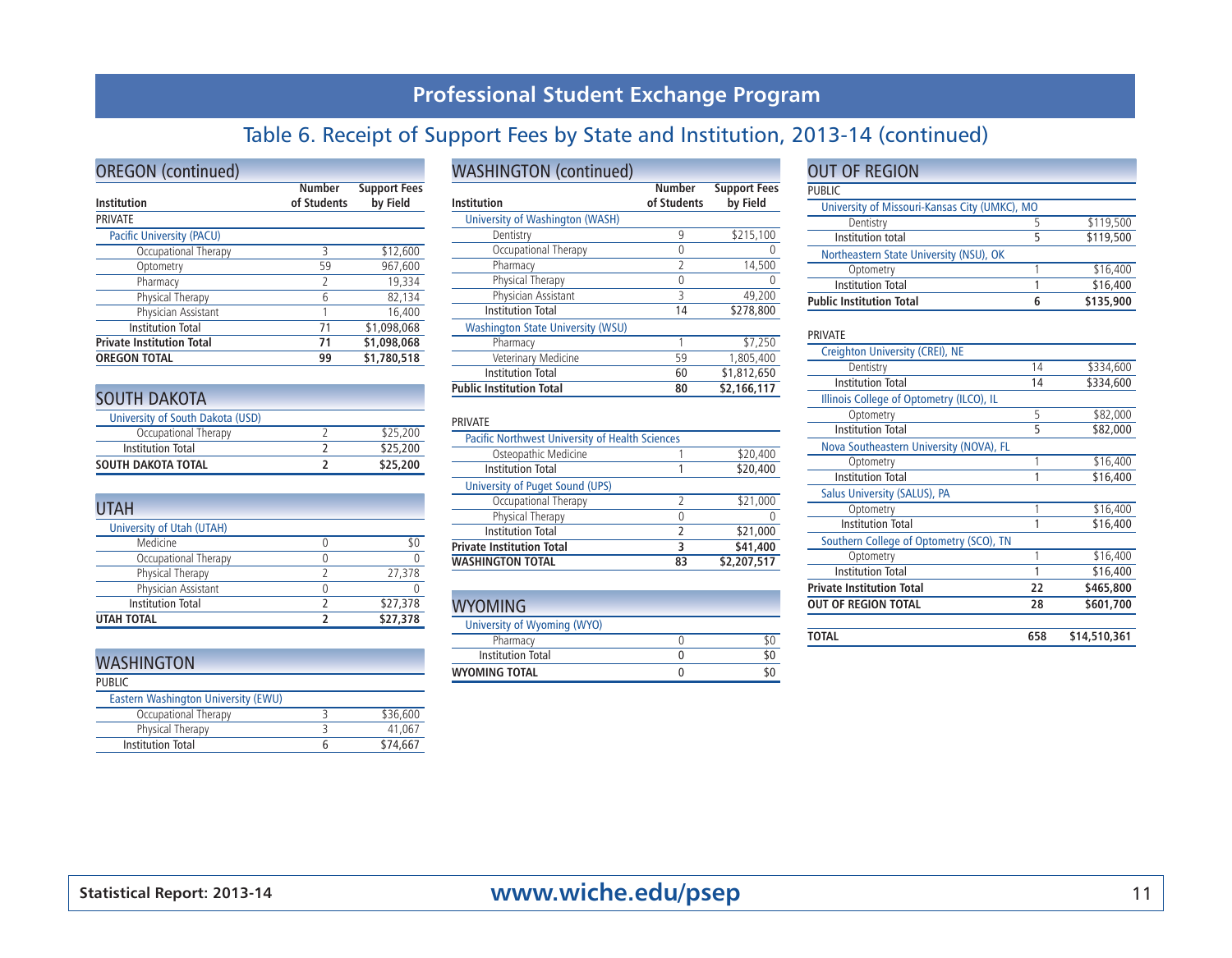# Table 6. Receipt of Support Fees by State and Institution, 2013-14 (continued)

| <b>OREGON</b> (continued)        |                              |                                 |
|----------------------------------|------------------------------|---------------------------------|
| Institution                      | <b>Number</b><br>of Students | <b>Support Fees</b><br>by Field |
| <b>PRIVATE</b>                   |                              |                                 |
| Pacific University (PACU)        |                              |                                 |
| Occupational Therapy             | ς                            | \$12,600                        |
| Optometry                        | 59                           | 967,600                         |
| Pharmacy                         | $\mathcal{P}$                | 19,334                          |
| Physical Therapy                 | 6                            | 82,134                          |
| Physician Assistant              |                              | 16,400                          |
| <b>Institution Total</b>         | 71                           | \$1,098,068                     |
| <b>Private Institution Total</b> | 71                           | \$1,098,068                     |
| <b>OREGON TOTAL</b>              | 99                           | \$1,780,518                     |

| <b>SOUTH DAKOTA</b>              |          |
|----------------------------------|----------|
| University of South Dakota (USD) |          |
| Occupational Therapy             | \$25,200 |
| <b>Institution Total</b>         | \$25,200 |
| <b>SOUTH DAKOTA TOTAL</b>        | \$25,200 |

| <b>UTAH</b>               |          |
|---------------------------|----------|
| University of Utah (UTAH) |          |
| Medicine                  |          |
| Occupational Therapy      |          |
| Physical Therapy          | 27,378   |
| Physician Assistant       |          |
| <b>Institution Total</b>  | \$27,378 |
| <b>UTAH TOTAL</b>         | \$27,378 |

| <b>WASHINGTON</b>                   |          |
|-------------------------------------|----------|
| <b>PUBLIC</b>                       |          |
| Eastern Washington University (EWU) |          |
| Occupational Therapy                | \$36,600 |
| Physical Therapy                    | 41.067   |
| <b>Institution Total</b>            | \$74.667 |

#### WASHINGTON (continued)

| Institution                              | <b>Number</b><br>of Students | <b>Support Fees</b><br>by Field |
|------------------------------------------|------------------------------|---------------------------------|
| University of Washington (WASH)          |                              |                                 |
| Dentistry                                | 9                            | \$215,100                       |
|                                          |                              |                                 |
| Occupational Therapy                     | 0                            |                                 |
| Pharmacy                                 | 2                            | 14,500                          |
| Physical Therapy                         | 0                            | 0                               |
| Physician Assistant                      | 3                            | 49,200                          |
| <b>Institution Total</b>                 | 14                           | \$278,800                       |
| <b>Washington State University (WSU)</b> |                              |                                 |
| Pharmacy                                 |                              | \$7,250                         |
| Veterinary Medicine                      | 59                           | 1,805,400                       |
| <b>Institution Total</b>                 | 60                           | \$1,812,650                     |
| <b>Public Institution Total</b>          | 80                           | \$2,166,117                     |

#### PRIVATE

| <b>Pacific Northwest University of Health Sciences</b> |    |             |
|--------------------------------------------------------|----|-------------|
| Osteopathic Medicine                                   |    | \$20,400    |
| Institution Total                                      |    | \$20,400    |
| University of Puget Sound (UPS)                        |    |             |
| Occupational Therapy                                   |    | \$21,000    |
| Physical Therapy                                       |    |             |
| <b>Institution Total</b>                               | 2  | \$21,000    |
| <b>Private Institution Total</b>                       | ٦  | \$41,400    |
| <b>WASHINGTON TOTAL</b>                                | 83 | \$2,207,517 |

#### **WYOMING**

| University of Wyoming (WYO) |  |
|-----------------------------|--|
| Pharmacy                    |  |
| Institution Total           |  |
| <b>WYOMING TOTAL</b>        |  |

#### OUT OF REGION

| <b>PUBLIC</b>                                 |   |           |  |  |  |  |  |  |  |  |
|-----------------------------------------------|---|-----------|--|--|--|--|--|--|--|--|
| University of Missouri-Kansas City (UMKC), MO |   |           |  |  |  |  |  |  |  |  |
| Dentistry                                     |   | \$119,500 |  |  |  |  |  |  |  |  |
| Institution total                             | ь | \$119,500 |  |  |  |  |  |  |  |  |
| Northeastern State University (NSU), OK       |   |           |  |  |  |  |  |  |  |  |
| Optometry                                     |   | \$16,400  |  |  |  |  |  |  |  |  |
| <b>Institution Total</b>                      |   | \$16,400  |  |  |  |  |  |  |  |  |
| <b>Public Institution Total</b>               | 6 | \$135,900 |  |  |  |  |  |  |  |  |

#### PRIVATE

| <b>Institution Total</b>                 | 14  | \$334,600    |
|------------------------------------------|-----|--------------|
| Illinois College of Optometry (ILCO), IL |     |              |
| Optometry                                | 5   | \$82,000     |
| <b>Institution Total</b>                 | 5   | \$82,000     |
| Nova Southeastern University (NOVA), FL  |     |              |
| Optometry                                |     | \$16,400     |
| <b>Institution Total</b>                 |     | \$16,400     |
| Salus University (SALUS), PA             |     |              |
| Optometry                                |     | \$16,400     |
| <b>Institution Total</b>                 |     | \$16,400     |
| Southern College of Optometry (SCO), TN  |     |              |
| Optometry                                | 1   | \$16,400     |
| <b>Institution Total</b>                 |     | \$16,400     |
| <b>Private Institution Total</b>         | 22  | \$465,800    |
| <b>OUT OF REGION TOTAL</b>               | 28  | \$601,700    |
|                                          |     |              |
| TOTAL                                    | 658 | \$14,510,361 |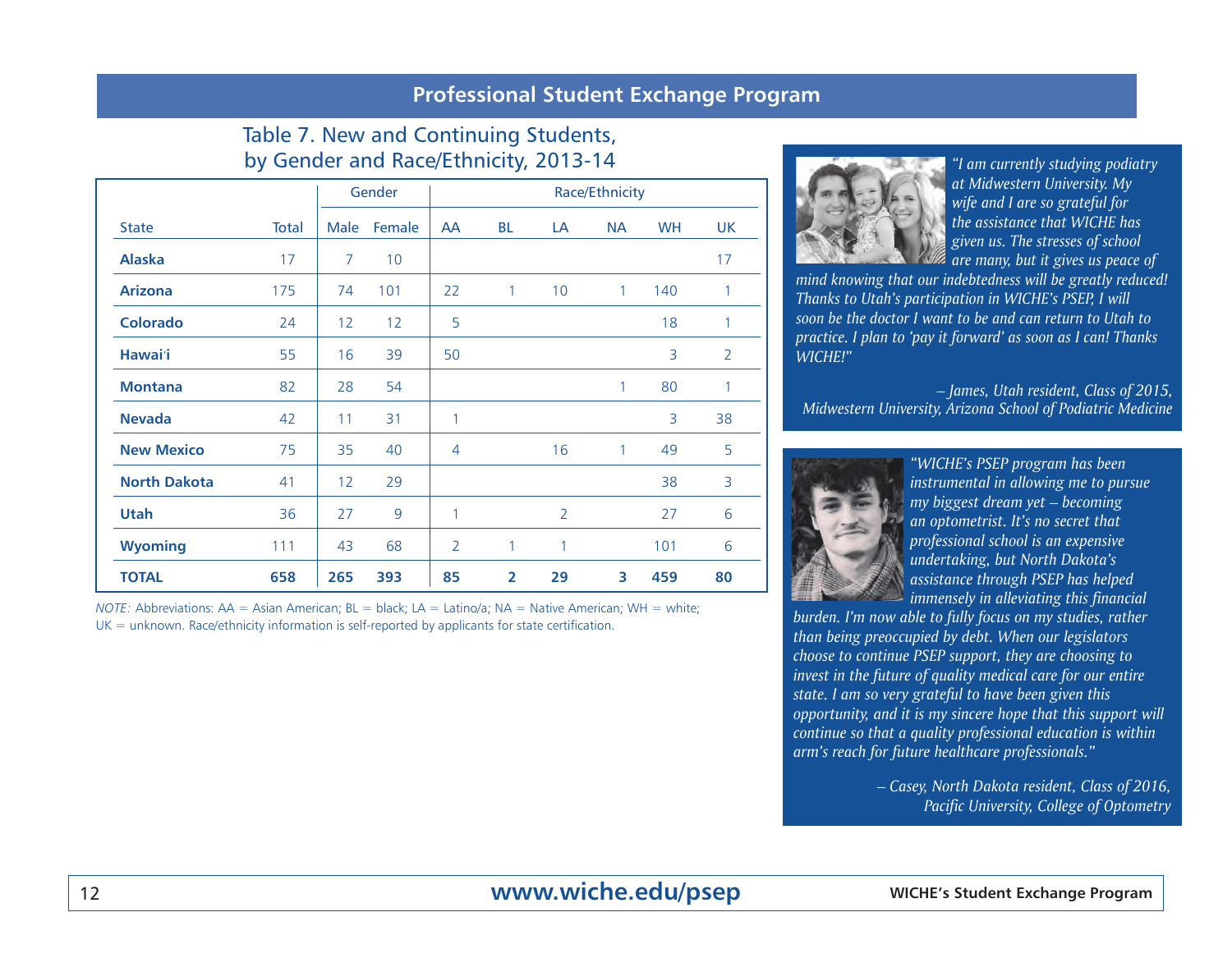#### Table 7. New and Continuing Students, by Gender and Race/Ethnicity, 2013-14

|                     |       |             | Gender | Race/Ethnicity |                |                |              |           |                |  |  |  |
|---------------------|-------|-------------|--------|----------------|----------------|----------------|--------------|-----------|----------------|--|--|--|
| <b>State</b>        | Total | <b>Male</b> | Female | <b>AA</b>      | <b>BL</b>      | LA             | <b>NA</b>    | <b>WH</b> | UK             |  |  |  |
| <b>Alaska</b>       | 17    | 7           | 10     |                |                |                |              |           | 17             |  |  |  |
| <b>Arizona</b>      | 175   | 74          | 101    | 22             | $\mathbf{1}$   | 10             | $\mathbf{1}$ | 140       | 1              |  |  |  |
| <b>Colorado</b>     | 24    | 12          | 12     | 5              |                |                |              | 18        | 1              |  |  |  |
| <b>Hawai</b> 'i     | 55    | 16          | 39     | 50             |                |                |              | 3         | $\overline{2}$ |  |  |  |
| <b>Montana</b>      | 82    | 28          | 54     |                |                |                | 1            | 80        | 1              |  |  |  |
| <b>Nevada</b>       | 42    | 11          | 31     | $\mathbf{1}$   |                |                |              | 3         | 38             |  |  |  |
| <b>New Mexico</b>   | 75    | 35          | 40     | 4              |                | 16             | $\mathbf{1}$ | 49        | 5              |  |  |  |
| <b>North Dakota</b> | 41    | 12          | 29     |                |                |                |              | 38        | 3              |  |  |  |
| Utah                | 36    | 27          | 9      | $\mathbf{1}$   |                | $\overline{2}$ |              | 27        | 6              |  |  |  |
| <b>Wyoming</b>      | 111   | 43          | 68     | $\overline{2}$ | 1              | 1              |              | 101       | 6              |  |  |  |
| <b>TOTAL</b>        | 658   | 265         | 393    | 85             | $\overline{2}$ | 29             | 3            | 459       | 80             |  |  |  |

*NOTE:* Abbreviations: AA = Asian American; BL = black; LA = Latino/a; NA = Native American; WH = white;  $UK =$  unknown. Race/ethnicity information is self-reported by applicants for state certification.



*"I am currently studying podiatry at Midwestern University. My wife and I are so grateful for the assistance that WICHE has given us. The stresses of school are many, but it gives us peace of* 

*mind knowing that our indebtedness will be greatly reduced! Thanks to Utah's participation in WICHE's PSEP, I will soon be the doctor I want to be and can return to Utah to practice. I plan to 'pay it forward' as soon as I can! Thanks WICHE!"* 

*– James, Utah resident, Class of 2015, Midwestern University, Arizona School of Podiatric Medicine*



*"WICHE's PSEP program has been instrumental in allowing me to pursue my biggest dream yet – becoming an optometrist. It's no secret that professional school is an expensive undertaking, but North Dakota's assistance through PSEP has helped immensely in alleviating this financial* 

*burden. I'm now able to fully focus on my studies, rather than being preoccupied by debt. When our legislators choose to continue PSEP support, they are choosing to invest in the future of quality medical care for our entire state. I am so very grateful to have been given this opportunity, and it is my sincere hope that this support will continue so that a quality professional education is within arm's reach for future healthcare professionals."*

> *– Casey, North Dakota resident, Class of 2016, Pacific University, College of Optometry*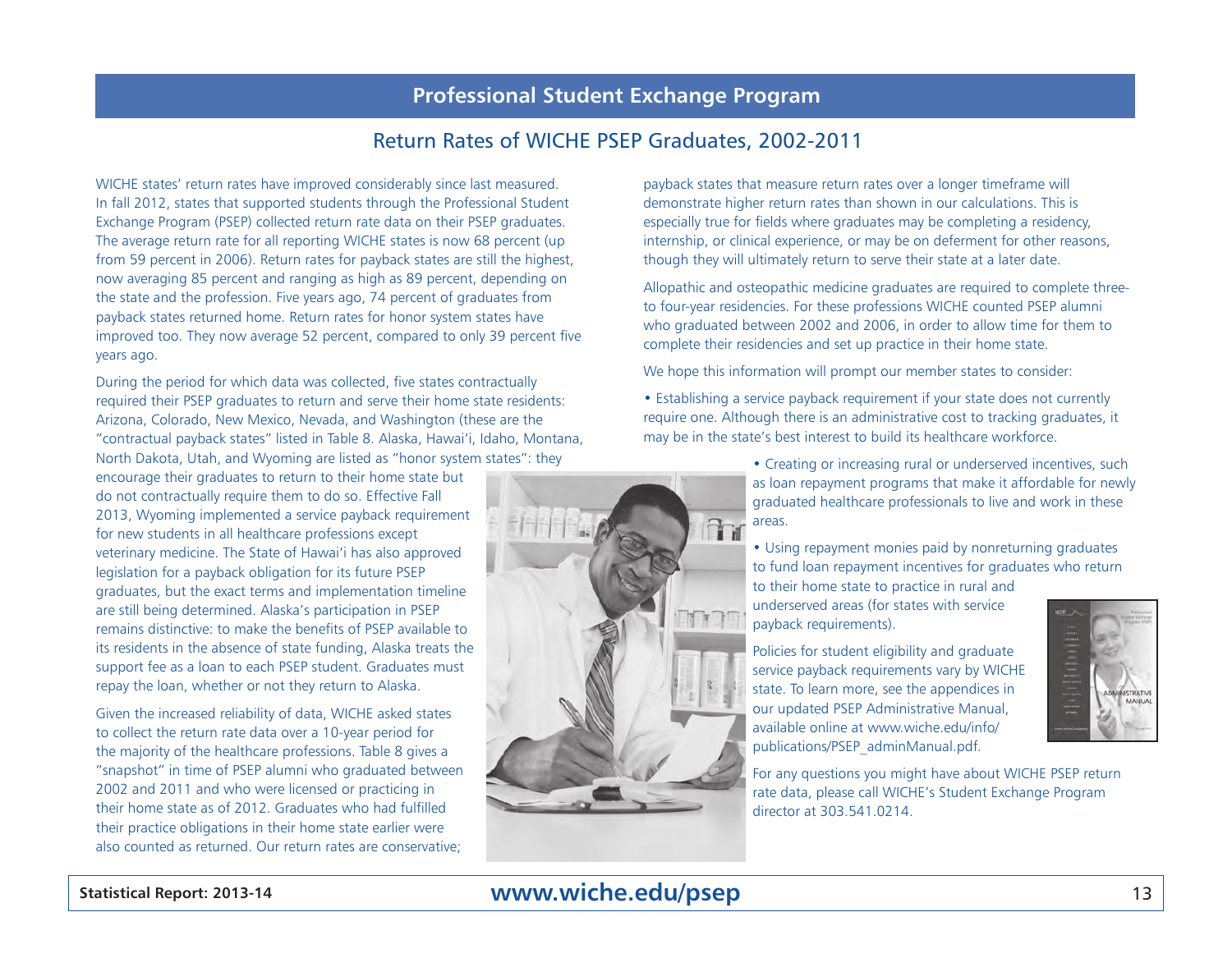#### Return Rates of WICHE PSEP Graduates, 2002-2011

WICHE states' return rates have improved considerably since last measured. In fall 2012, states that supported students through the Professional Student Exchange Program (PSEP) collected return rate data on their PSEP graduates. The average return rate for all reporting WICHE states is now 68 percent (up from 59 percent in 2006). Return rates for payback states are still the highest, now averaging 85 percent and ranging as high as 89 percent, depending on the state and the profession. Five years ago, 74 percent of graduates from payback states returned home. Return rates for honor system states have improved too. They now average 52 percent, compared to only 39 percent five years ago.

During the period for which data was collected, five states contractually required their PSEP graduates to return and serve their home state residents: Arizona, Colorado, New Mexico, Nevada, and Washington (these are the "contractual payback states" listed in Table 8. Alaska, Hawai'i, Idaho, Montana, North Dakota, Utah, and Wyoming are listed as "honor system states": they

encourage their graduates to return to their home state but do not contractually require them to do so. Effective Fall 2013, Wyoming implemented a service payback requirement for new students in all healthcare professions except veterinary medicine. The State of Hawai'i has also approved legislation for a payback obligation for its future PSEP graduates, but the exact terms and implementation timeline are still being determined. Alaska's participation in PSEP remains distinctive: to make the benefits of PSEP available to its residents in the absence of state funding, Alaska treats the support fee as a loan to each PSEP student. Graduates must repay the loan, whether or not they return to Alaska.

Given the increased reliability of data, WICHE asked states to collect the return rate data over a 10-year period for the majority of the healthcare professions. Table 8 gives a "snapshot" in time of PSEP alumni who graduated between 2002 and 2011 and who were licensed or practicing in their home state as of 2012. Graduates who had fulfilled their practice obligations in their home state earlier were also counted as returned. Our return rates are conservative;

payback states that measure return rates over a longer timeframe will demonstrate higher return rates than shown in our calculations. This is especially true for fields where graduates may be completing a residency, internship, or clinical experience, or may be on deferment for other reasons, though they will ultimately return to serve their state at a later date.

Allopathic and osteopathic medicine graduates are required to complete threeto four-year residencies. For these professions WICHE counted PSEP alumni who graduated between 2002 and 2006, in order to allow time for them to complete their residencies and set up practice in their home state.

We hope this information will prompt our member states to consider:

**Th** 

TTT

• Establishing a service payback requirement if your state does not currently require one. Although there is an administrative cost to tracking graduates, it may be in the state's best interest to build its healthcare workforce.

> • Creating or increasing rural or underserved incentives, such as loan repayment programs that make it affordable for newly graduated healthcare professionals to live and work in these areas.

• Using repayment monies paid by nonreturning graduates to fund loan repayment incentives for graduates who return to their home state to practice in rural and

underserved areas (for states with service payback requirements).

Policies for student eligibility and graduate service payback requirements vary by WICHE state. To learn more, see the appendices in our updated PSEP Administrative Manual, available online at www.wiche.edu/info/ publications/PSEP\_adminManual.pdf.

For any questions you might have about WICHE PSEP return rate data, please call WICHE's Student Exchange Program director at 303.541.0214.



MANUAL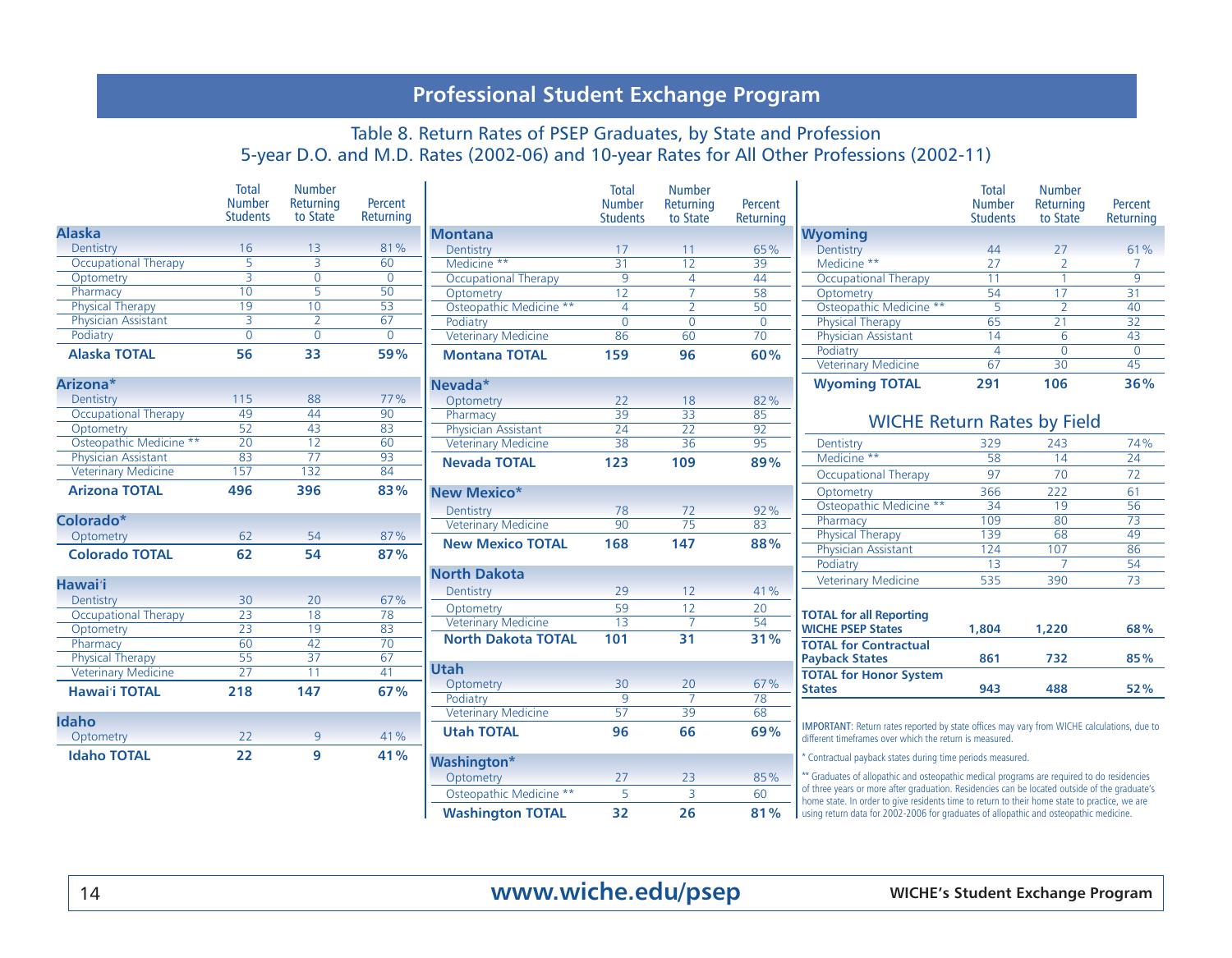#### Table 8. Return Rates of PSEP Graduates, by State and Profession 5-year D.O. and M.D. Rates (2002-06) and 10-year Rates for All Other Professions (2002-11)

|                             | <b>Total</b><br><b>Number</b><br><b>Students</b> | <b>Number</b><br>Returning<br>to State | Percent<br>Returning |                             | <b>Total</b><br><b>Number</b><br><b>Students</b> | <b>Number</b><br>Returning<br>to State | Percent<br>Returning |                                                                                                                                                                                                | <b>Total</b><br><b>Number</b><br><b>Students</b> | <b>Number</b><br>Returning<br>to State | Percent<br>Returning |
|-----------------------------|--------------------------------------------------|----------------------------------------|----------------------|-----------------------------|--------------------------------------------------|----------------------------------------|----------------------|------------------------------------------------------------------------------------------------------------------------------------------------------------------------------------------------|--------------------------------------------------|----------------------------------------|----------------------|
| <b>Alaska</b>               |                                                  |                                        |                      | <b>Montana</b>              |                                                  |                                        |                      | <b>Wyoming</b>                                                                                                                                                                                 |                                                  |                                        |                      |
| Dentistry                   | 16                                               | 13                                     | 81%                  | Dentistry                   | 17                                               | 11                                     | 65%                  | Dentistry                                                                                                                                                                                      | 44                                               | 27                                     | 61%                  |
| <b>Occupational Therapy</b> | 5                                                | $\overline{3}$                         | 60                   | Medicine **                 | 31                                               | $\overline{12}$                        | 39                   | Medicine **                                                                                                                                                                                    | 27                                               | $\overline{2}$                         |                      |
| Optometry                   | $\overline{3}$                                   | $\overline{0}$                         | $\overline{0}$       | <b>Occupational Therapy</b> | 9                                                | $\overline{4}$                         | 44                   | <b>Occupational Therapy</b>                                                                                                                                                                    | 11                                               |                                        | $\overline{9}$       |
| Pharmacy                    | 10                                               | $\overline{5}$                         | $\overline{50}$      | Optometry                   | $\overline{12}$                                  | $\overline{7}$                         | $\overline{58}$      | Optometry                                                                                                                                                                                      | 54                                               | 17                                     | $\overline{31}$      |
| <b>Physical Therapy</b>     | $\overline{19}$                                  | 10                                     | 53                   | Osteopathic Medicine **     | $\overline{4}$                                   | $\overline{\phantom{a}}$               | $\overline{50}$      | Osteopathic Medicine **                                                                                                                                                                        | $\overline{5}$                                   | $\overline{z}$                         | 40                   |
| <b>Physician Assistant</b>  | 3                                                | $\overline{2}$                         | 67                   | Podiatry                    | $\mathbf 0$                                      | $\mathbf{0}$                           | $\overline{0}$       | <b>Physical Therapy</b>                                                                                                                                                                        | 65                                               | 21                                     | $\overline{32}$      |
| Podiatry                    | $\overline{0}$                                   | $\overline{0}$                         | $\mathbf 0$          | <b>Veterinary Medicine</b>  | 86                                               | 60                                     | 70                   | Physician Assistant                                                                                                                                                                            | 14                                               | 6                                      | 43                   |
| <b>Alaska TOTAL</b>         | 56                                               | 33                                     | 59%                  | <b>Montana TOTAL</b>        | 159                                              | 96                                     | 60%                  | Podiatry                                                                                                                                                                                       | $\overline{4}$                                   | $\mathbf{0}$                           | $\overline{0}$       |
|                             |                                                  |                                        |                      |                             |                                                  |                                        |                      | <b>Veterinary Medicine</b>                                                                                                                                                                     | 67                                               | 30                                     | 45                   |
| Arizona*                    |                                                  |                                        |                      | Nevada*                     |                                                  |                                        |                      | <b>Wyoming TOTAL</b>                                                                                                                                                                           | 291                                              | 106                                    | 36%                  |
| Dentistry                   | 115                                              | 88                                     | 77%                  | Optometry                   | 22                                               | 18                                     | 82%                  |                                                                                                                                                                                                |                                                  |                                        |                      |
| <b>Occupational Therapy</b> | 49                                               | 44                                     | 90                   | Pharmacy                    | 39                                               | $\overline{33}$                        | 85                   | <b>WICHE Return Rates by Field</b>                                                                                                                                                             |                                                  |                                        |                      |
| Optometry                   | 52                                               | 43                                     | 83                   | Physician Assistant         | $\overline{24}$                                  | $\overline{22}$                        | $\overline{92}$      |                                                                                                                                                                                                |                                                  |                                        |                      |
| Osteopathic Medicine **     | $\overline{20}$                                  | $\overline{12}$                        | 60                   | <b>Veterinary Medicine</b>  | 38                                               | $\overline{36}$                        | 95                   | Dentistry                                                                                                                                                                                      | 329                                              | 243                                    | 74%                  |
| <b>Physician Assistant</b>  | 83                                               | 77                                     | 93                   | <b>Nevada TOTAL</b>         | 123                                              | 109                                    | 89%                  | Medicine **                                                                                                                                                                                    | 58                                               | $\overline{14}$                        | $\overline{24}$      |
| <b>Veterinary Medicine</b>  | 157                                              | 132                                    | 84                   |                             |                                                  |                                        |                      | <b>Occupational Therapy</b>                                                                                                                                                                    | 97                                               | 70                                     | 72                   |
| <b>Arizona TOTAL</b>        | 496                                              | 396                                    | 83%                  | <b>New Mexico*</b>          |                                                  |                                        |                      | Optometry                                                                                                                                                                                      | 366                                              | 222                                    | 61                   |
|                             |                                                  |                                        |                      | Dentistry                   | 78                                               | 72                                     | 92%                  | Osteopathic Medicine **                                                                                                                                                                        | $\overline{34}$                                  | 19                                     | 56                   |
| Colorado*                   |                                                  |                                        |                      | <b>Veterinary Medicine</b>  | $\overline{90}$                                  | $\overline{75}$                        | 83                   | Pharmacy                                                                                                                                                                                       | 109                                              | 80                                     | $\overline{73}$      |
| Optometry                   | 62                                               | 54                                     | 87%                  | <b>New Mexico TOTAL</b>     | 168                                              | 147                                    | 88%                  | <b>Physical Therapy</b>                                                                                                                                                                        | 139                                              | 68                                     | 49                   |
| <b>Colorado TOTAL</b>       | 62                                               | 54                                     | 87%                  |                             |                                                  |                                        |                      | Physician Assistant                                                                                                                                                                            | 124                                              | 107                                    | 86                   |
|                             |                                                  |                                        |                      | <b>North Dakota</b>         |                                                  |                                        |                      | Podiatry                                                                                                                                                                                       | $\overline{13}$                                  |                                        | 54                   |
| <b>Hawai</b> 'i             |                                                  |                                        |                      | Dentistry                   | 29                                               | 12                                     | 41%                  | <b>Veterinary Medicine</b>                                                                                                                                                                     | 535                                              | 390                                    | 73                   |
| Dentistry                   | 30                                               | 20                                     | 67%                  |                             |                                                  |                                        |                      |                                                                                                                                                                                                |                                                  |                                        |                      |
| <b>Occupational Therapy</b> | $\overline{23}$                                  | $\overline{18}$                        | $\overline{78}$      | Optometry                   | 59                                               | 12<br>$\overline{7}$                   | 20                   | <b>TOTAL for all Reporting</b>                                                                                                                                                                 |                                                  |                                        |                      |
| Optometry                   | 23                                               | 19                                     | 83                   | <b>Veterinary Medicine</b>  | 13                                               |                                        | 54                   | <b>WICHE PSEP States</b>                                                                                                                                                                       | 1,804                                            | 1,220                                  | 68%                  |
| Pharmacy                    | 60                                               | 42                                     | 70                   | <b>North Dakota TOTAL</b>   | 101                                              | $\overline{31}$                        | 31%                  | <b>TOTAL for Contractual</b>                                                                                                                                                                   |                                                  |                                        |                      |
| <b>Physical Therapy</b>     | $\overline{55}$                                  | 37                                     | 67                   |                             |                                                  |                                        |                      | <b>Payback States</b>                                                                                                                                                                          | 861                                              | 732                                    | 85%                  |
| <b>Veterinary Medicine</b>  | $\overline{27}$                                  | 11                                     | 41                   | <b>Utah</b>                 |                                                  |                                        |                      | <b>TOTAL for Honor System</b>                                                                                                                                                                  |                                                  |                                        |                      |
| <b>Hawai'i TOTAL</b>        | 218                                              | 147                                    | 67%                  | Optometry                   | 30                                               | 20<br>$\overline{7}$                   | 67%                  | <b>States</b>                                                                                                                                                                                  | 943                                              | 488                                    | 52%                  |
|                             |                                                  |                                        |                      | Podiatry                    | $\overline{9}$                                   | $\overline{39}$                        | 78                   |                                                                                                                                                                                                |                                                  |                                        |                      |
| <b>Idaho</b>                |                                                  |                                        |                      | <b>Veterinary Medicine</b>  | 57                                               |                                        | 68                   | IMPORTANT: Return rates reported by state offices may vary from WICHE calculations, due to                                                                                                     |                                                  |                                        |                      |
| Optometry                   | 22                                               | $\overline{9}$                         | 41%                  | <b>Utah TOTAL</b>           | 96                                               | 66                                     | 69%                  | different timeframes over which the return is measured.                                                                                                                                        |                                                  |                                        |                      |
| <b>Idaho TOTAL</b>          | 22                                               | 9                                      | 41%                  | <b>Washington*</b>          |                                                  |                                        |                      | * Contractual payback states during time periods measured.                                                                                                                                     |                                                  |                                        |                      |
|                             |                                                  |                                        |                      | Optometry                   | 27                                               | 23                                     | 85%                  | ** Graduates of allopathic and osteopathic medical programs are required to do residencies                                                                                                     |                                                  |                                        |                      |
|                             |                                                  |                                        |                      | Osteopathic Medicine **     | 5                                                | $\overline{3}$                         | 60                   | of three years or more after graduation. Residencies can be located outside of the graduate's<br>home state. In order to give residents time to return to their home state to practice, we are |                                                  |                                        |                      |
|                             |                                                  |                                        |                      | <b>Washington TOTAL</b>     | 32                                               | 26                                     | 81%                  | using return data for 2002-2006 for graduates of allopathic and osteopathic medicine.                                                                                                          |                                                  |                                        |                      |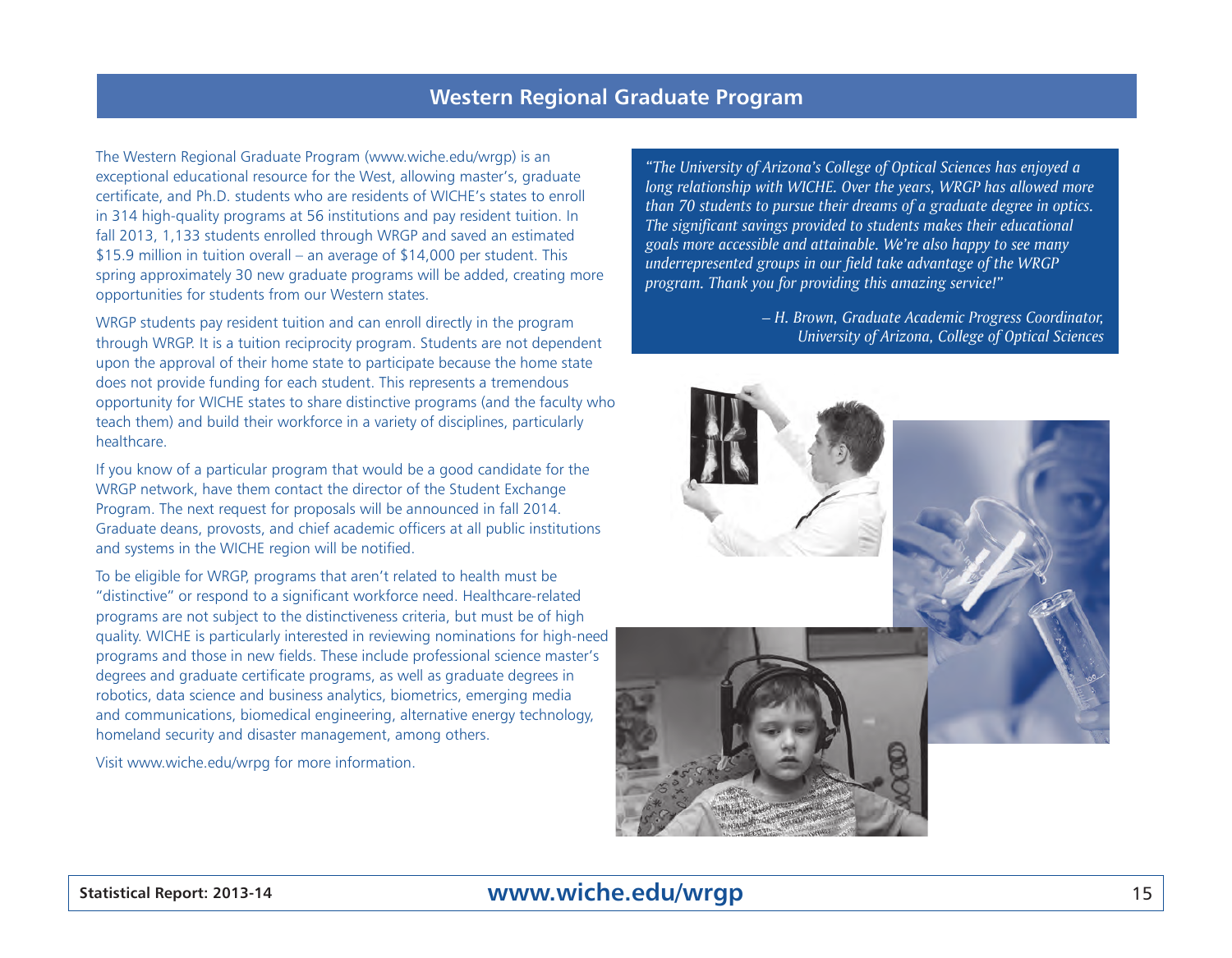#### **Western Regional Graduate Program**

The Western Regional Graduate Program (www.wiche.edu/wrgp) is an exceptional educational resource for the West, allowing master's, graduate certificate, and Ph.D. students who are residents of WICHE's states to enroll in 314 high-quality programs at 56 institutions and pay resident tuition. In fall 2013, 1,133 students enrolled through WRGP and saved an estimated \$15.9 million in tuition overall – an average of \$14,000 per student. This spring approximately 30 new graduate programs will be added, creating more opportunities for students from our Western states.

WRGP students pay resident tuition and can enroll directly in the program through WRGP. It is a tuition reciprocity program. Students are not dependent upon the approval of their home state to participate because the home state does not provide funding for each student. This represents a tremendous opportunity for WICHE states to share distinctive programs (and the faculty who teach them) and build their workforce in a variety of disciplines, particularly healthcare.

If you know of a particular program that would be a good candidate for the WRGP network, have them contact the director of the Student Exchange Program. The next request for proposals will be announced in fall 2014. Graduate deans, provosts, and chief academic officers at all public institutions and systems in the WICHE region will be notified.

To be eligible for WRGP, programs that aren't related to health must be "distinctive" or respond to a significant workforce need. Healthcare-related programs are not subject to the distinctiveness criteria, but must be of high quality. WICHE is particularly interested in reviewing nominations for high-need programs and those in new fields. These include professional science master's degrees and graduate certificate programs, as well as graduate degrees in robotics, data science and business analytics, biometrics, emerging media and communications, biomedical engineering, alternative energy technology, homeland security and disaster management, among others.

Visit www.wiche.edu/wrpg for more information.

*"The University of Arizona's College of Optical Sciences has enjoyed a long relationship with WICHE. Over the years, WRGP has allowed more than 70 students to pursue their dreams of a graduate degree in optics. The significant savings provided to students makes their educational goals more accessible and attainable. We're also happy to see many underrepresented groups in our field take advantage of the WRGP program. Thank you for providing this amazing service!"* 

> *– H. Brown, Graduate Academic Progress Coordinator, University of Arizona, College of Optical Sciences*



## **Statistical Report: 2013-14** 15 **www.wiche.edu/wrgp**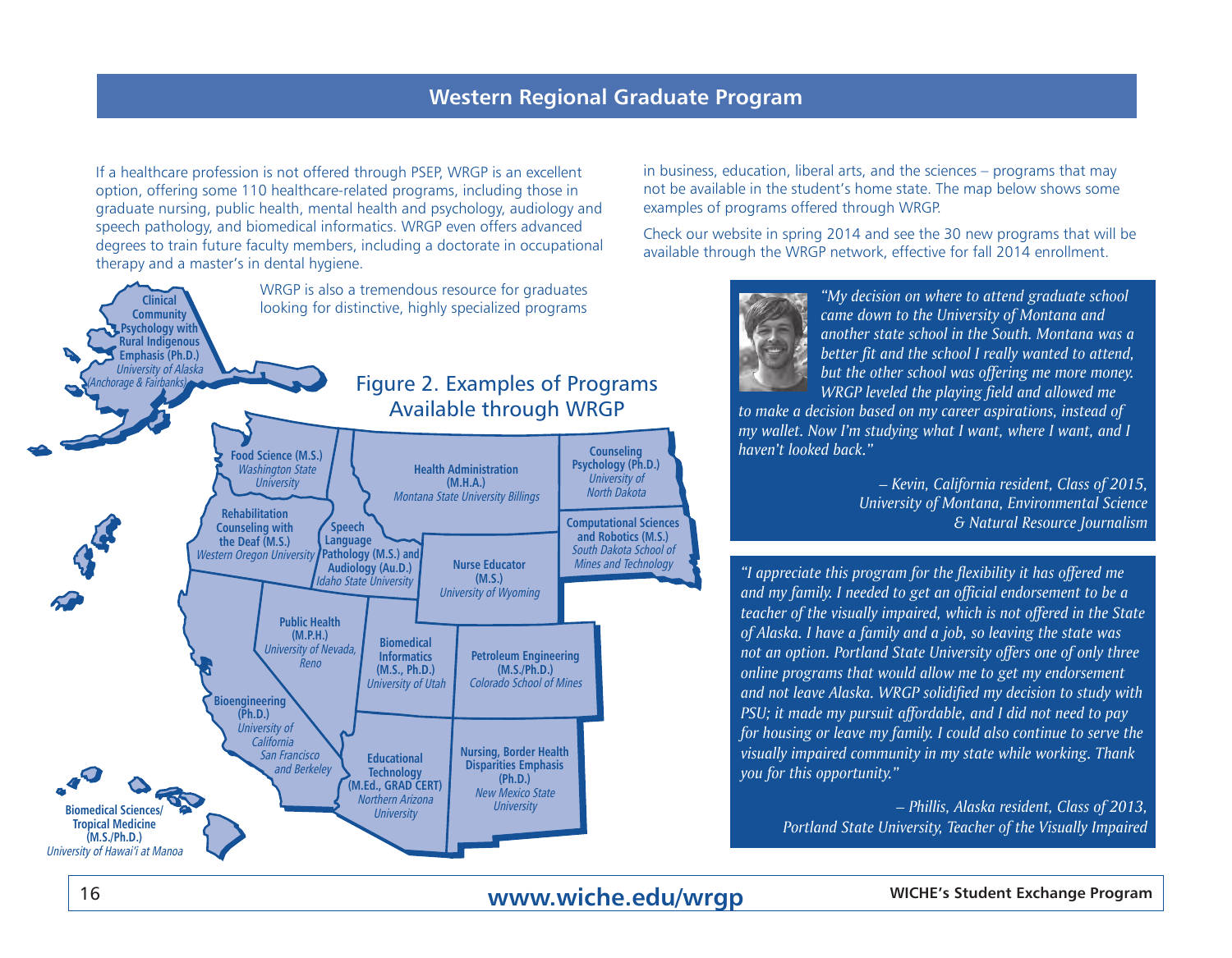If a healthcare profession is not offered through PSEP, WRGP is an excellent option, offering some 110 healthcare-related programs, including those in graduate nursing, public health, mental health and psychology, audiology and speech pathology, and biomedical informatics. WRGP even offers advanced degrees to train future faculty members, including a doctorate in occupational therapy and a master's in dental hygiene.



in business, education, liberal arts, and the sciences – programs that may not be available in the student's home state. The map below shows some examples of programs offered through WRGP.

Check our website in spring 2014 and see the 30 new programs that will be available through the WRGP network, effective for fall 2014 enrollment.



*"My decision on where to attend graduate school came down to the University of Montana and another state school in the South. Montana was a better fit and the school I really wanted to attend, but the other school was offering me more money. WRGP leveled the playing field and allowed me* 

*to make a decision based on my career aspirations, instead of my wallet. Now I'm studying what I want, where I want, and I haven't looked back."*

> *– Kevin, California resident, Class of 2015, University of Montana, Environmental Science & Natural Resource Journalism*

*"I appreciate this program for the flexibility it has offered me and my family. I needed to get an official endorsement to be a teacher of the visually impaired, which is not offered in the State of Alaska. I have a family and a job, so leaving the state was not an option. Portland State University offers one of only three online programs that would allow me to get my endorsement and not leave Alaska. WRGP solidified my decision to study with PSU; it made my pursuit affordable, and I did not need to pay for housing or leave my family. I could also continue to serve the visually impaired community in my state while working. Thank you for this opportunity."*

> *– Phillis, Alaska resident, Class of 2013, Portland State University, Teacher of the Visually Impaired*

## **16 WWW.Wiche.edu/wrgp WICHE's Student Exchange Program**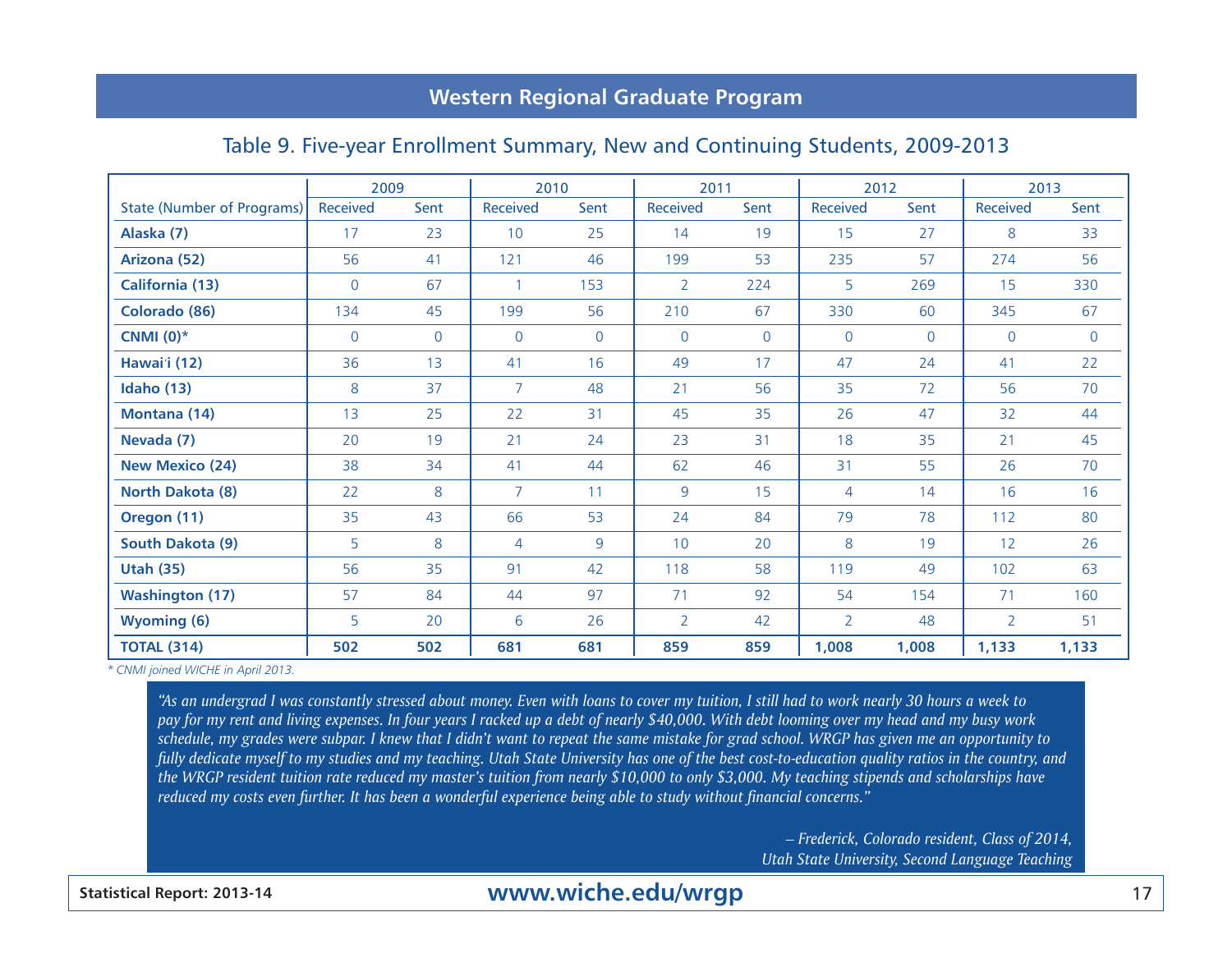## **Western Regional Graduate Program**

#### Table 9. Five-year Enrollment Summary, New and Continuing Students, 2009-2013

|                                   | 2009        |              |                | 2010           |                 | 2011        |                 | 2012           | 2013            |                |  |
|-----------------------------------|-------------|--------------|----------------|----------------|-----------------|-------------|-----------------|----------------|-----------------|----------------|--|
| <b>State (Number of Programs)</b> | Received    | Sent         | Received       | Sent           | <b>Received</b> | Sent        | <b>Received</b> | Sent           | <b>Received</b> | Sent           |  |
| Alaska (7)                        | 17          | 23           | 10             | 25             | 14              | 19          | 15              | 27             | 8               | 33             |  |
| Arizona (52)                      | 56          | 41           | 121            | 46             | 199             | 53          | 235             | 57             | 274             | 56             |  |
| <b>California (13)</b>            | $\mathbf 0$ | 67           | 1              | 153            | $\overline{2}$  | 224         | 5               | 269            | 15              | 330            |  |
| Colorado (86)                     | 134         | 45           | 199            | 56             | 210             | 67          | 330             | 60             | 345             | 67             |  |
| CNMI $(0)^*$                      | $\mathbf 0$ | $\mathsf{O}$ | $\overline{0}$ | $\overline{0}$ | $\mathbf 0$     | $\mathbf 0$ | $\overline{0}$  | $\overline{0}$ | $\mathbf 0$     | $\overline{0}$ |  |
| Hawai'i (12)                      | 36          | 13           | 41             | 16             | 49              | 17          | 47              | 24             | 41              | 22             |  |
| <b>Idaho</b> (13)                 | 8           | 37           | $\overline{7}$ | 48             | 21              | 56          | 35              | 72             | 56              | 70             |  |
| Montana (14)                      | 13          | 25           | 22             | 31             | 45              | 35          | 26              | 47             | 32              | 44             |  |
| Nevada (7)                        | 20          | 19           | 21             | 24             | 23              | 31          | 18              | 35             | 21              | 45             |  |
| <b>New Mexico (24)</b>            | 38          | 34           | 41             | 44             | 62              | 46          | 31              | 55             | 26              | 70             |  |
| North Dakota (8)                  | 22          | 8            | $\overline{7}$ | 11             | 9               | 15          | $\overline{4}$  | 14             | 16              | 16             |  |
| Oregon (11)                       | 35          | 43           | 66             | 53             | 24              | 84          | 79              | 78             | 112             | 80             |  |
| South Dakota (9)                  | 5           | 8            | $\overline{4}$ | 9              | 10              | 20          | 8               | 19             | 12              | 26             |  |
| <b>Utah (35)</b>                  | 56          | 35           | 91             | 42             | 118             | 58          | 119             | 49             | 102             | 63             |  |
| <b>Washington (17)</b>            | 57          | 84           | 44             | 97             | 71              | 92          | 54              | 154            | 71              | 160            |  |
| <b>Wyoming (6)</b>                | 5           | 20           | 6              | 26             | $\overline{2}$  | 42          | $\overline{2}$  | 48             | $\overline{2}$  | 51             |  |
| <b>TOTAL (314)</b>                | 502         | 502          | 681            | 681            | 859             | 859         | 1,008           | 1,008          | 1,133           | 1,133          |  |

*\* CNMI joined WICHE in April 2013.*

*"As an undergrad I was constantly stressed about money. Even with loans to cover my tuition, I still had to work nearly 30 hours a week to pay for my rent and living expenses. In four years I racked up a debt of nearly \$40,000. With debt looming over my head and my busy work schedule, my grades were subpar. I knew that I didn't want to repeat the same mistake for grad school. WRGP has given me an opportunity to fully dedicate myself to my studies and my teaching. Utah State University has one of the best cost-to-education quality ratios in the country, and the WRGP resident tuition rate reduced my master's tuition from nearly \$10,000 to only \$3,000. My teaching stipends and scholarships have reduced my costs even further. It has been a wonderful experience being able to study without financial concerns."*

> *– Frederick, Colorado resident, Class of 2014, Utah State University, Second Language Teaching*

## **Statistical Report: 2013-14** 17 **www.wiche.edu/wrgp**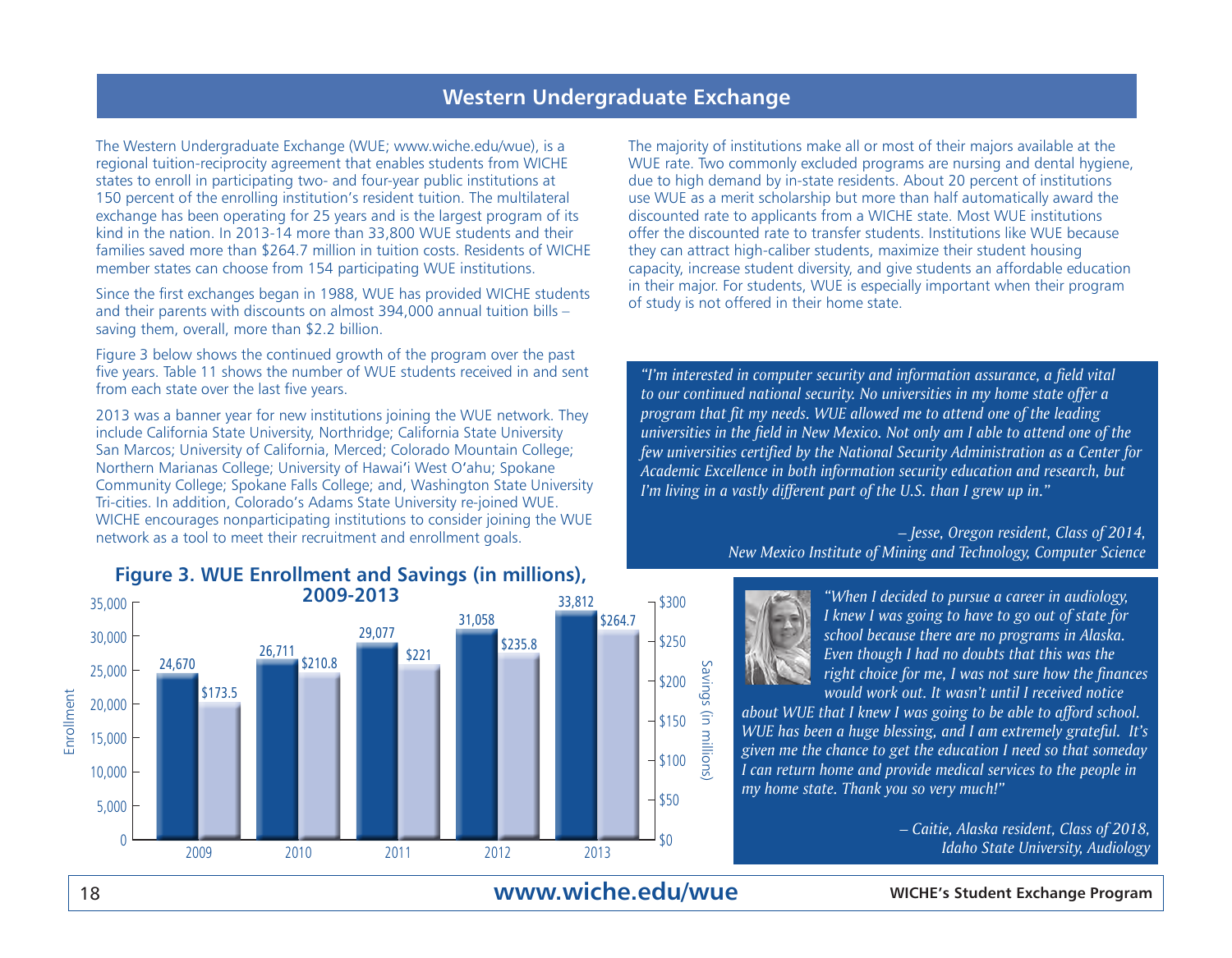#### **Western Undergraduate Exchange**

The Western Undergraduate Exchange (WUE; www.wiche.edu/wue), is a regional tuition-reciprocity agreement that enables students from WICHE states to enroll in participating two- and four-year public institutions at 150 percent of the enrolling institution's resident tuition. The multilateral exchange has been operating for 25 years and is the largest program of its kind in the nation. In 2013-14 more than 33,800 WUE students and their families saved more than \$264.7 million in tuition costs. Residents of WICHE member states can choose from 154 participating WUE institutions.

Since the first exchanges began in 1988, WUE has provided WICHE students and their parents with discounts on almost 394,000 annual tuition bills – saving them, overall, more than \$2.2 billion.

Figure 3 below shows the continued growth of the program over the past five years. Table 11 shows the number of WUE students received in and sent from each state over the last five years.

2013 was a banner year for new institutions joining the WUE network. They include California State University, Northridge; California State University San Marcos; University of California, Merced; Colorado Mountain College; Northern Marianas College; University of Hawai'i West O'ahu; Spokane Community College; Spokane Falls College; and, Washington State University Tri-cities. In addition, Colorado's Adams State University re-joined WUE. WICHE encourages nonparticipating institutions to consider joining the WUE network as a tool to meet their recruitment and enrollment goals.

## **Figure 3. WUE Enrollment and Savings (in millions),**



The majority of institutions make all or most of their majors available at the WUE rate. Two commonly excluded programs are nursing and dental hygiene, due to high demand by in-state residents. About 20 percent of institutions use WUE as a merit scholarship but more than half automatically award the discounted rate to applicants from a WICHE state. Most WUE institutions offer the discounted rate to transfer students. Institutions like WUE because they can attract high-caliber students, maximize their student housing capacity, increase student diversity, and give students an affordable education in their major. For students, WUE is especially important when their program of study is not offered in their home state.

*"I'm interested in computer security and information assurance, a field vital to our continued national security. No universities in my home state offer a program that fit my needs. WUE allowed me to attend one of the leading universities in the field in New Mexico. Not only am I able to attend one of the few universities certified by the National Security Administration as a Center for Academic Excellence in both information security education and research, but I'm living in a vastly different part of the U.S. than I grew up in."*

#### *– Jesse, Oregon resident, Class of 2014, New Mexico Institute of Mining and Technology, Computer Science*



*"When I decided to pursue a career in audiology, I knew I was going to have to go out of state for school because there are no programs in Alaska. Even though I had no doubts that this was the right choice for me, I was not sure how the finances would work out. It wasn't until I received notice* 

*about WUE that I knew I was going to be able to afford school. WUE has been a huge blessing, and I am extremely grateful. It's given me the chance to get the education I need so that someday I can return home and provide medical services to the people in my home state. Thank you so very much!"*

> *– Caitie, Alaska resident, Class of 2018, Idaho State University, Audiology*

## **www.wiche.edu/wue**

#### 18 **WICHE's Student Exchange Program**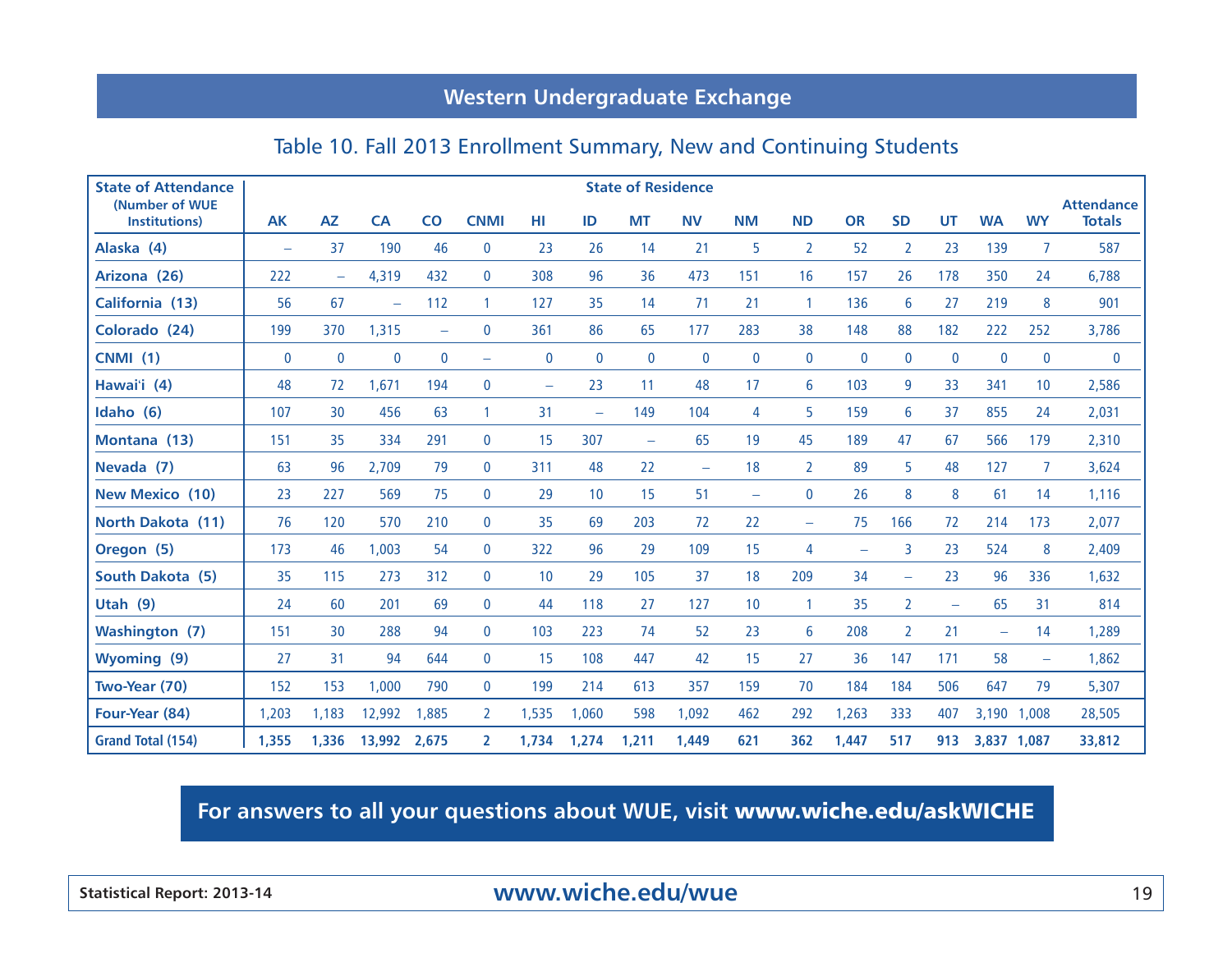## **Western Undergraduate Exchange**

## Table 10. Fall 2013 Enrollment Summary, New and Continuing Students

| <b>State of Attendance</b>      |                          |                          |             |                          |                          |                          |                          | <b>State of Residence</b> |                          |                          |                   |             |                          |                          |                          |                          |                                    |
|---------------------------------|--------------------------|--------------------------|-------------|--------------------------|--------------------------|--------------------------|--------------------------|---------------------------|--------------------------|--------------------------|-------------------|-------------|--------------------------|--------------------------|--------------------------|--------------------------|------------------------------------|
| (Number of WUE<br>Institutions) | <b>AK</b>                | <b>AZ</b>                | <b>CA</b>   | $\overline{c}$           | <b>CNMI</b>              | HI                       | ID                       | <b>MT</b>                 | <b>NV</b>                | <b>NM</b>                | <b>ND</b>         | <b>OR</b>   | <b>SD</b>                | <b>UT</b>                | <b>WA</b>                | <b>WY</b>                | <b>Attendance</b><br><b>Totals</b> |
| Alaska (4)                      | $\overline{\phantom{m}}$ | 37                       | 190         | 46                       | $\mathbf 0$              | 23                       | 26                       | 14                        | 21                       | 5                        | $\overline{2}$    | 52          | 2                        | 23                       | 139                      | 7                        | 587                                |
| Arizona (26)                    | 222                      | $\overline{\phantom{m}}$ | 4,319       | 432                      | $\mathbf{0}$             | 308                      | 96                       | 36                        | 473                      | 151                      | 16                | 157         | 26                       | 178                      | 350                      | 24                       | 6,788                              |
| California (13)                 | 56                       | 67                       | -           | 112                      | $\mathbf{1}$             | 127                      | 35                       | 14                        | 71                       | 21                       | -1                | 136         | 6                        | 27                       | 219                      | 8                        | 901                                |
| Colorado (24)                   | 199                      | 370                      | 1,315       | $\overline{\phantom{m}}$ | $\mathbf{0}$             | 361                      | 86                       | 65                        | 177                      | 283                      | 38                | 148         | 88                       | 182                      | 222                      | 252                      | 3,786                              |
| <b>CNMI (1)</b>                 | 0                        | $\mathbf 0$              | $\mathbf 0$ | $\mathbf 0$              | $\overline{\phantom{m}}$ | $\boldsymbol{0}$         | $\boldsymbol{0}$         | $\mathbf 0$               | $\mathbf 0$              | $\mathbf 0$              | $\mathbf 0$       | $\mathbf 0$ | $\mathbf 0$              | $\mathbf{0}$             | $\mathbf 0$              | $\bf{0}$                 | $\mathbf 0$                        |
| Hawai'i (4)                     | 48                       | 72                       | 1,671       | 194                      | $\mathbf 0$              | $\overline{\phantom{m}}$ | 23                       | 11                        | 48                       | 17                       | 6                 | 103         | 9                        | 33                       | 341                      | 10                       | 2,586                              |
| Idaho (6)                       | 107                      | 30                       | 456         | 63                       | $\mathbf{1}$             | 31                       | $\overline{\phantom{m}}$ | 149                       | 104                      | 4                        | 5                 | 159         | 6                        | 37                       | 855                      | 24                       | 2,031                              |
| Montana (13)                    | 151                      | 35                       | 334         | 291                      | $\mathbf{0}$             | 15                       | 307                      | -                         | 65                       | 19                       | 45                | 189         | 47                       | 67                       | 566                      | 179                      | 2,310                              |
| Nevada (7)                      | 63                       | 96                       | 2,709       | 79                       | $\bf{0}$                 | 311                      | 48                       | 22                        | $\overline{\phantom{a}}$ | 18                       | $\overline{2}$    | 89          | 5                        | 48                       | 127                      | $\overline{7}$           | 3,624                              |
| <b>New Mexico (10)</b>          | 23                       | 227                      | 569         | 75                       | $\mathbf 0$              | 29                       | 10                       | 15                        | 51                       | $\overline{\phantom{0}}$ | $\mathbf{0}$      | 26          | 8                        | 8                        | 61                       | 14                       | 1,116                              |
| North Dakota (11)               | 76                       | 120                      | 570         | 210                      | $\mathbf 0$              | 35                       | 69                       | 203                       | 72                       | 22                       | $\qquad \qquad -$ | 75          | 166                      | 72                       | 214                      | 173                      | 2,077                              |
| Oregon (5)                      | 173                      | 46                       | 1,003       | 54                       | $\mathbf{0}$             | 322                      | 96                       | 29                        | 109                      | 15                       | 4                 |             | 3                        | 23                       | 524                      | 8                        | 2,409                              |
| South Dakota (5)                | 35                       | 115                      | 273         | 312                      | $\mathbf 0$              | 10                       | 29                       | 105                       | 37                       | 18                       | 209               | 34          | $\overline{\phantom{m}}$ | 23                       | 96                       | 336                      | 1,632                              |
| Utah $(9)$                      | 24                       | 60                       | 201         | 69                       | $\mathbf 0$              | 44                       | 118                      | 27                        | 127                      | 10                       | $\mathbf{1}$      | 35          | $\overline{2}$           | $\overline{\phantom{m}}$ | 65                       | 31                       | 814                                |
| <b>Washington (7)</b>           | 151                      | 30                       | 288         | 94                       | $\mathbf 0$              | 103                      | 223                      | 74                        | 52                       | 23                       | 6                 | 208         | 2                        | 21                       | $\overline{\phantom{0}}$ | 14                       | 1,289                              |
| <b>Wyoming</b> (9)              | 27                       | 31                       | 94          | 644                      | $\mathbf 0$              | 15                       | 108                      | 447                       | 42                       | 15                       | 27                | 36          | 147                      | 171                      | 58                       | $\overline{\phantom{0}}$ | 1,862                              |
| Two-Year (70)                   | 152                      | 153                      | 1,000       | 790                      | $\mathbf{0}$             | 199                      | 214                      | 613                       | 357                      | 159                      | 70                | 184         | 184                      | 506                      | 647                      | 79                       | 5,307                              |
| Four-Year (84)                  | 1.203                    | 1.183                    | 12,992      | 1,885                    | $\mathbf{2}$             | 1,535                    | 1,060                    | 598                       | 1,092                    | 462                      | 292               | 1,263       | 333                      | 407                      | 3,190 1,008              |                          | 28,505                             |
| <b>Grand Total (154)</b>        | 1,355                    | 1,336                    | 13,992      | 2,675                    | $\overline{2}$           | 1,734                    | 1,274                    | 1,211                     | 1,449                    | 621                      | 362               | 1,447       | 517                      | 913                      | 3,837 1,087              |                          | 33,812                             |

**For answers to all your questions about WUE, visit** www.wiche.edu/askWICHE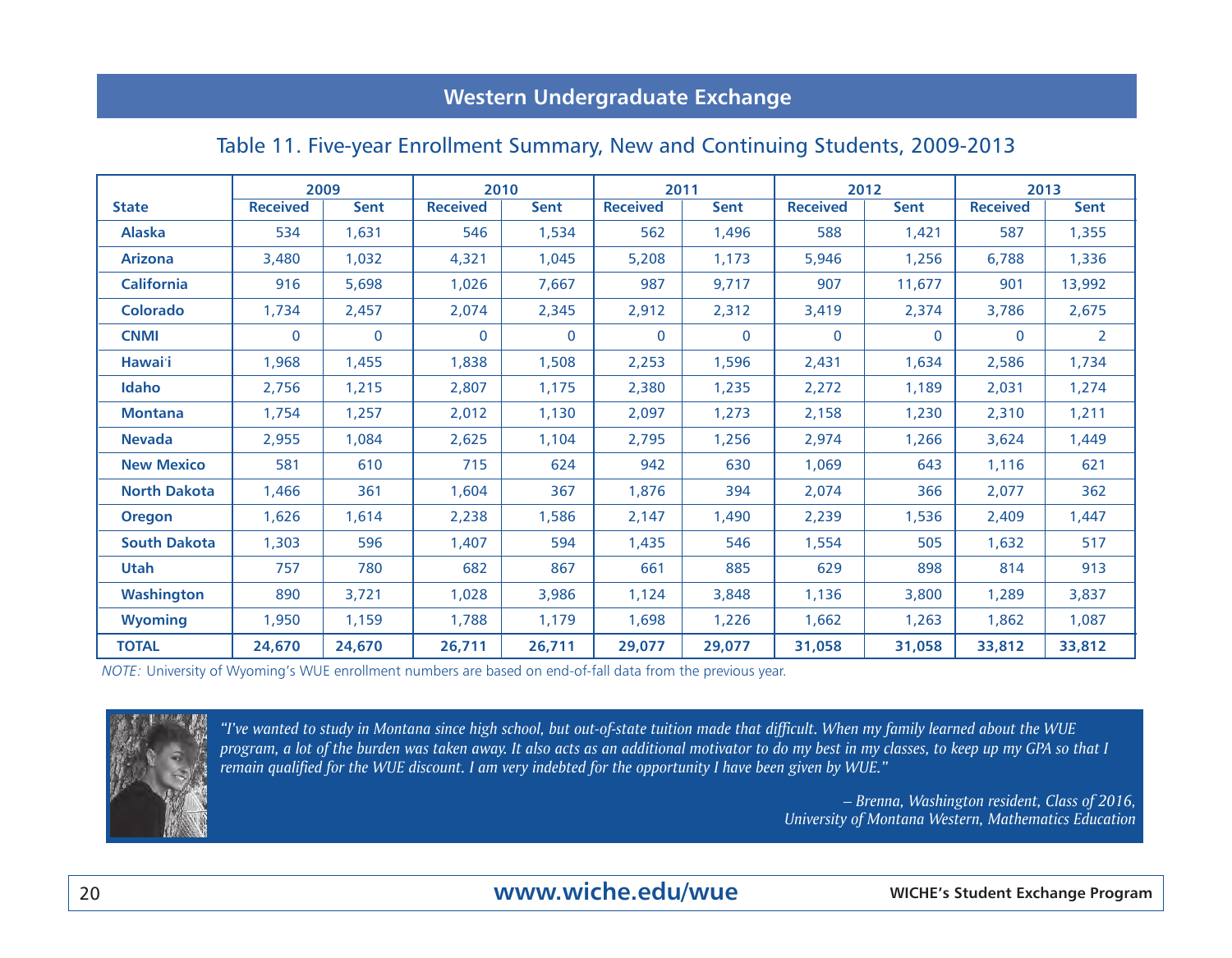## **Western Undergraduate Exchange**

## Table 11. Five-year Enrollment Summary, New and Continuing Students, 2009-2013

|                     | 2009            |             | 2010            |              | 2011            |          |                 | 2012        | 2013            |                |  |
|---------------------|-----------------|-------------|-----------------|--------------|-----------------|----------|-----------------|-------------|-----------------|----------------|--|
| <b>State</b>        | <b>Received</b> | <b>Sent</b> | <b>Received</b> | <b>Sent</b>  | <b>Received</b> | Sent     | <b>Received</b> | <b>Sent</b> | <b>Received</b> | <b>Sent</b>    |  |
| <b>Alaska</b>       | 534             | 1,631       | 546             | 1,534        | 562             | 1,496    | 588             | 1,421       | 587             | 1,355          |  |
| <b>Arizona</b>      | 3,480           | 1,032       | 4,321           | 1,045        | 5,208           | 1,173    | 5,946           | 1,256       | 6,788           | 1,336          |  |
| <b>California</b>   | 916             | 5,698       | 1,026           | 7,667        | 987             | 9,717    | 907             | 11,677      | 901             | 13,992         |  |
| <b>Colorado</b>     | 1,734           | 2,457       | 2,074           | 2,345        | 2,912           | 2,312    | 3,419           | 2,374       | 3,786           | 2,675          |  |
| <b>CNMI</b>         | $\mathbf{0}$    | $\mathbf 0$ | $\Omega$        | $\mathbf{0}$ | $\Omega$        | $\Omega$ | $\mathbf{0}$    | $\Omega$    | $\mathbf{0}$    | $\overline{2}$ |  |
| Hawai'i             | 1,968           | 1,455       | 1,838           | 1,508        | 2,253           | 1,596    | 2,431           | 1,634       | 2,586           | 1,734          |  |
| Idaho               | 2,756           | 1,215       | 2,807           | 1,175        | 2,380           | 1,235    | 2,272           | 1,189       | 2,031           | 1,274          |  |
| <b>Montana</b>      | 1,754           | 1,257       | 2,012           | 1,130        | 2,097           | 1,273    | 2,158           | 1,230       | 2,310           | 1,211          |  |
| <b>Nevada</b>       | 2,955           | 1,084       | 2,625           | 1,104        | 2,795           | 1,256    | 2,974           | 1,266       | 3,624           | 1,449          |  |
| <b>New Mexico</b>   | 581             | 610         | 715             | 624          | 942             | 630      | 1,069           | 643         | 1,116           | 621            |  |
| <b>North Dakota</b> | 1,466           | 361         | 1,604           | 367          | 1,876           | 394      | 2,074           | 366         | 2,077           | 362            |  |
| <b>Oregon</b>       | 1,626           | 1,614       | 2,238           | 1,586        | 2,147           | 1,490    | 2,239           | 1,536       | 2,409           | 1,447          |  |
| <b>South Dakota</b> | 1,303           | 596         | 1,407           | 594          | 1,435           | 546      | 1,554           | 505         | 1,632           | 517            |  |
| <b>Utah</b>         | 757             | 780         | 682             | 867          | 661             | 885      | 629             | 898         | 814             | 913            |  |
| Washington          | 890             | 3,721       | 1,028           | 3,986        | 1,124           | 3,848    | 1,136           | 3,800       | 1,289           | 3,837          |  |
| <b>Wyoming</b>      | 1,950           | 1,159       | 1,788           | 1,179        | 1,698           | 1,226    | 1,662           | 1,263       | 1,862           | 1,087          |  |
| <b>TOTAL</b>        | 24,670          | 24,670      | 26,711          | 26,711       | 29,077          | 29,077   | 31,058          | 31,058      | 33,812          | 33,812         |  |

*NOTE:* University of Wyoming's WUE enrollment numbers are based on end-of-fall data from the previous year.



*"I've wanted to study in Montana since high school, but out-of-state tuition made that difficult. When my family learned about the WUE program, a lot of the burden was taken away. It also acts as an additional motivator to do my best in my classes, to keep up my GPA so that I remain qualified for the WUE discount. I am very indebted for the opportunity I have been given by WUE."*

> *– Brenna, Washington resident, Class of 2016, University of Montana Western, Mathematics Education*

20 **WICHE's Student Exchange Program www.wiche.edu/wue**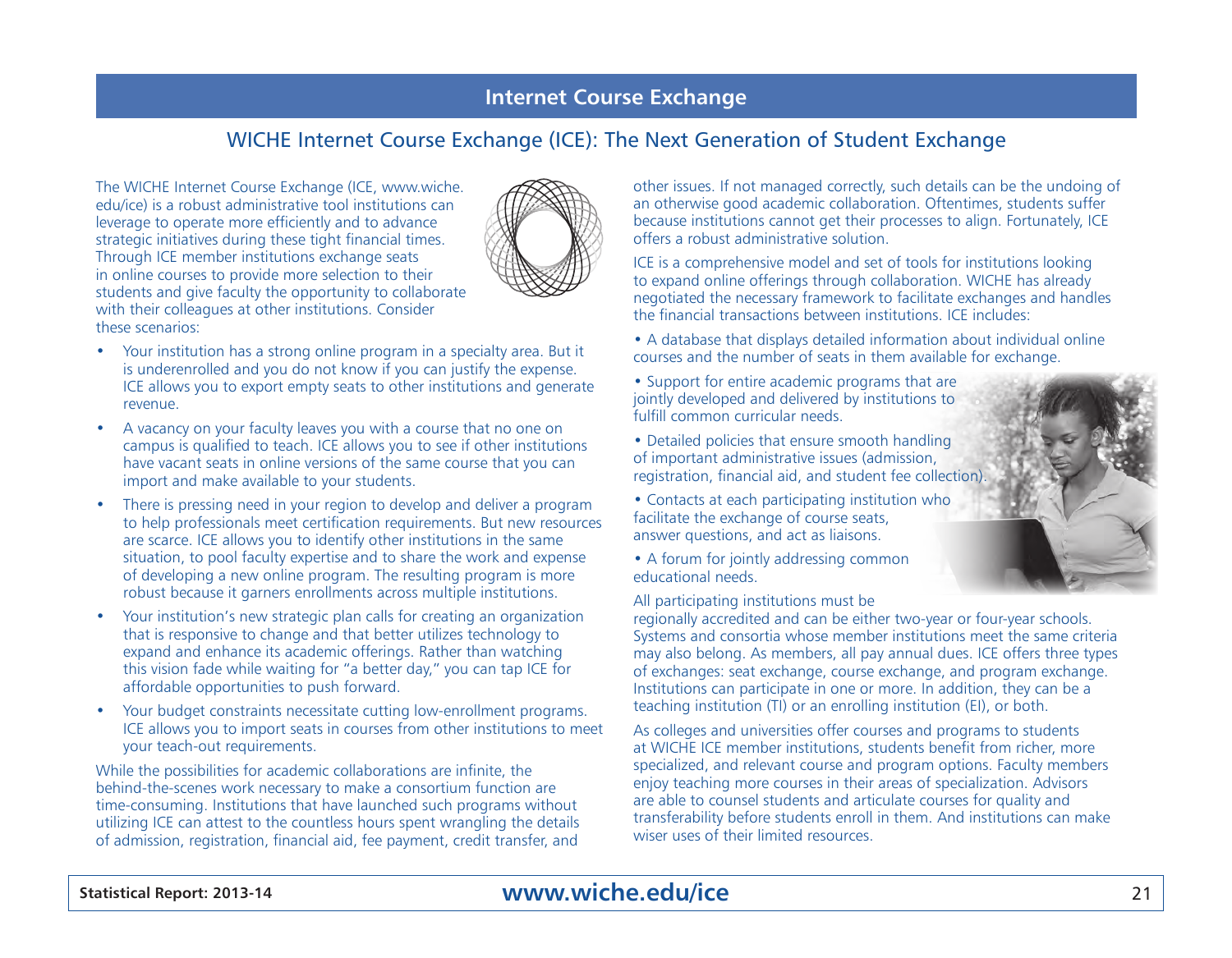#### **Internet Course Exchange**

#### WICHE Internet Course Exchange (ICE): The Next Generation of Student Exchange

The WICHE Internet Course Exchange (ICE, www.wiche. edu/ice) is a robust administrative tool institutions can leverage to operate more efficiently and to advance strategic initiatives during these tight financial times. Through ICE member institutions exchange seats in online courses to provide more selection to their students and give faculty the opportunity to collaborate with their colleagues at other institutions. Consider these scenarios:



- Your institution has a strong online program in a specialty area. But it is underenrolled and you do not know if you can justify the expense. ICE allows you to export empty seats to other institutions and generate revenue.
- A vacancy on your faculty leaves you with a course that no one on campus is qualified to teach. ICE allows you to see if other institutions have vacant seats in online versions of the same course that you can import and make available to your students.
- There is pressing need in your region to develop and deliver a program to help professionals meet certification requirements. But new resources are scarce. ICE allows you to identify other institutions in the same situation, to pool faculty expertise and to share the work and expense of developing a new online program. The resulting program is more robust because it garners enrollments across multiple institutions.
- Your institution's new strategic plan calls for creating an organization that is responsive to change and that better utilizes technology to expand and enhance its academic offerings. Rather than watching this vision fade while waiting for "a better day," you can tap ICE for affordable opportunities to push forward.
- Your budget constraints necessitate cutting low-enrollment programs. ICE allows you to import seats in courses from other institutions to meet your teach-out requirements.

While the possibilities for academic collaborations are infinite, the behind-the-scenes work necessary to make a consortium function are time-consuming. Institutions that have launched such programs without utilizing ICE can attest to the countless hours spent wrangling the details of admission, registration, financial aid, fee payment, credit transfer, and

other issues. If not managed correctly, such details can be the undoing of an otherwise good academic collaboration. Oftentimes, students suffer because institutions cannot get their processes to align. Fortunately, ICE offers a robust administrative solution.

ICE is a comprehensive model and set of tools for institutions looking to expand online offerings through collaboration. WICHE has already negotiated the necessary framework to facilitate exchanges and handles the financial transactions between institutions. ICE includes:

- A database that displays detailed information about individual online courses and the number of seats in them available for exchange.
- Support for entire academic programs that are jointly developed and delivered by institutions to fulfill common curricular needs.
- Detailed policies that ensure smooth handling of important administrative issues (admission, registration, financial aid, and student fee collection).
- Contacts at each participating institution who facilitate the exchange of course seats, answer questions, and act as liaisons.
- A forum for jointly addressing common educational needs.

#### All participating institutions must be

regionally accredited and can be either two-year or four-year schools. Systems and consortia whose member institutions meet the same criteria may also belong. As members, all pay annual dues. ICE offers three types of exchanges: seat exchange, course exchange, and program exchange. Institutions can participate in one or more. In addition, they can be a teaching institution (TI) or an enrolling institution (EI), or both.

As colleges and universities offer courses and programs to students at WICHE ICE member institutions, students benefit from richer, more specialized, and relevant course and program options. Faculty members enjoy teaching more courses in their areas of specialization. Advisors are able to counsel students and articulate courses for quality and transferability before students enroll in them. And institutions can make wiser uses of their limited resources.

## **Statistical Report: 2013-14** 21 **www.wiche.edu/ice**